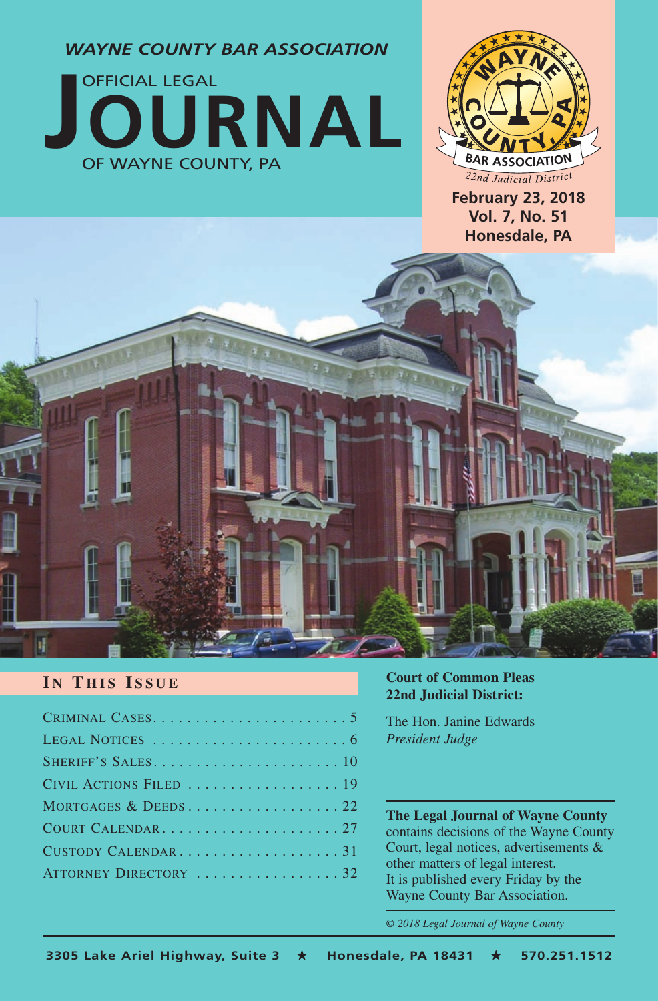*WAYNE COUNTY BAR ASSOCIATION*





**February 23, 2018 Vol. 7, No. 51 Honesdale, PA**

# ij

# **I N T HIS I SSUE**

| CIVIL ACTIONS FILED  19 |
|-------------------------|
|                         |
|                         |
| CUSTODY CALENDAR31      |
| ATTORNEY DIRECTORY 32   |

#### **Court of Common Pleas 22nd Judicial District:**

The Hon. Janine Edwards *President Judge* 

**The Legal Journal of Wayne County** contains decisions of the Wayne County Court, legal notices, advertisements & other matters of legal interest. It is published every Friday by the Wayne County Bar Association.

*© 2018 Legal Journal of Wayne County*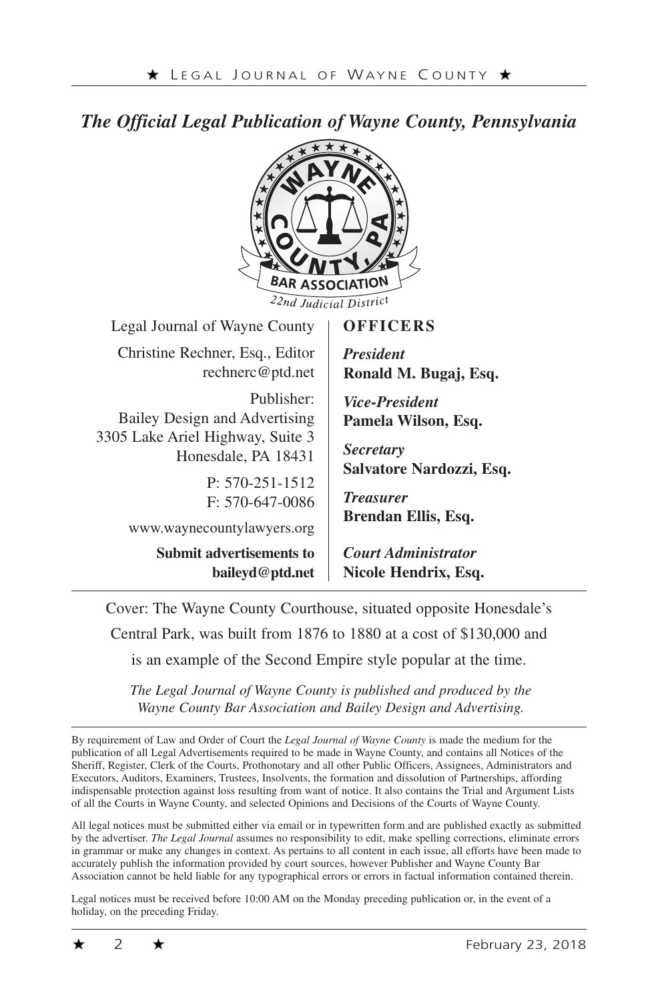# *The Official Legal Publication of Wayne County, Pennsylvania*



Cover: The Wayne County Courthouse, situated opposite Honesdale's

Central Park, was built from 1876 to 1880 at a cost of \$130,000 and

is an example of the Second Empire style popular at the time.

*The Legal Journal of Wayne County is published and produced by the Wayne County Bar Association and Bailey Design and Advertising.*

By requirement of Law and Order of Court the *Legal Journal of Wayne County* is made the medium for the publication of all Legal Advertisements required to be made in Wayne County, and contains all Notices of the Sheriff, Register, Clerk of the Courts, Prothonotary and all other Public Officers, Assignees, Administrators and Executors, Auditors, Examiners, Trustees, Insolvents, the formation and dissolution of Partnerships, affording indispensable protection against loss resulting from want of notice. It also contains the Trial and Argument Lists of all the Courts in Wayne County, and selected Opinions and Decisions of the Courts of Wayne County.

All legal notices must be submitted either via email or in typewritten form and are published exactly as submitted by the advertiser. *The Legal Journal* assumes no responsibility to edit, make spelling corrections, eliminate errors in grammar or make any changes in context. As pertains to all content in each issue, all efforts have been made to accurately publish the information provided by court sources, however Publisher and Wayne County Bar Association cannot be held liable for any typographical errors or errors in factual information contained therein.

Legal notices must be received before 10:00 AM on the Monday preceding publication or, in the event of a holiday, on the preceding Friday.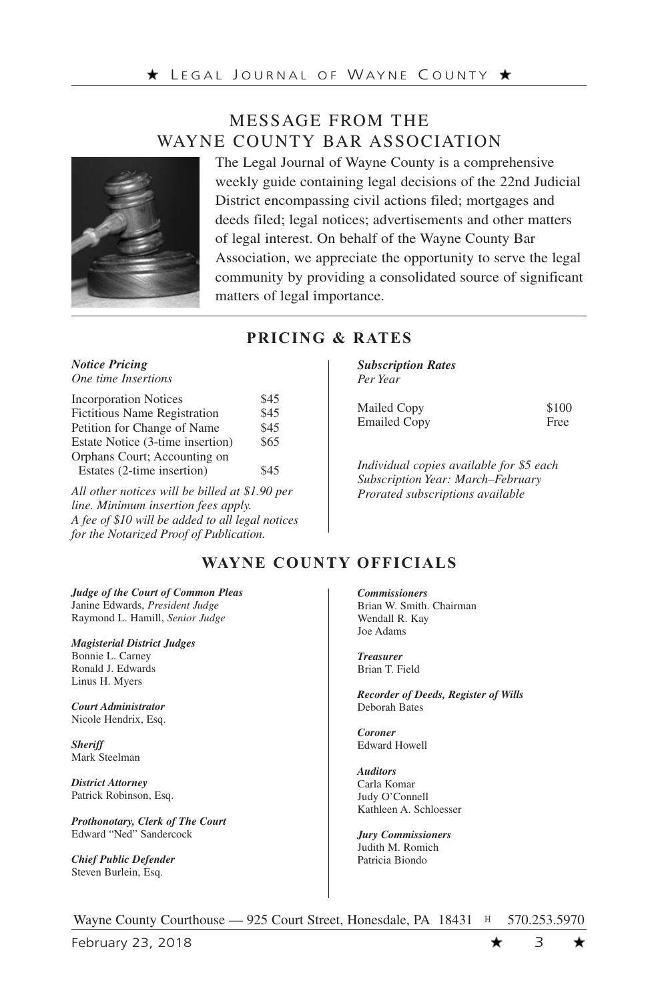# MESSAGE FROM THE WAYNE COUNTY BAR ASSOCIATION



The Legal Journal of Wayne County is a comprehensive weekly guide containing legal decisions of the 22nd Judicial District encompassing civil actions filed; mortgages and deeds filed; legal notices; advertisements and other matters of legal interest. On behalf of the Wayne County Bar Association, we appreciate the opportunity to serve the legal community by providing a consolidated source of significant matters of legal importance.

#### **PRICING & RATES**

#### *Notice Pricing One time Insertions*

| <b>Incorporation Notices</b>        | \$45 |
|-------------------------------------|------|
| <b>Fictitious Name Registration</b> | \$45 |
| Petition for Change of Name         | \$45 |
| Estate Notice (3-time insertion)    | \$65 |
| Orphans Court; Accounting on        |      |
| Estates (2-time insertion)          | \$45 |

*All other notices will be billed at \$1.90 per line. Minimum insertion fees apply. A fee of \$10 will be added to all legal notices for the Notarized Proof of Publication.* 

*Subscription Rates Per Year*

| Mailed Copy  | \$100 |
|--------------|-------|
| Emailed Copy | Free  |

*Individual copies available for \$5 each Subscription Year: March–February Prorated subscriptions available*

# **WAYNE COUNTY OFFICIALS**

*Judge of the Court of Common Pleas*  Janine Edwards, *President Judge*  Raymond L. Hamill, *Senior Judge* 

*Magisterial District Judges*  Bonnie L. Carney Ronald J. Edwards Linus H. Myers

*Court Administrator*  Nicole Hendrix, Esq.

*Sheriff*  Mark Steelman

*District Attorney*  Patrick Robinson, Esq.

*Prothonotary, Clerk of The Court*  Edward "Ned" Sandercock

*Chief Public Defender*  Steven Burlein, Esq.

*Commissioners*  Brian W. Smith. Chairman Wendall R. Kay Joe Adams

*Treasurer* Brian T. Field

*Recorder of Deeds, Register of Wills*  Deborah Bates

*Coroner*  Edward Howell

*Auditors*  Carla Komar Judy O'Connell Kathleen A. Schloesser

*Jury Commissioners*  Judith M. Romich Patricia Biondo

Wayne County Courthouse — 925 Court Street, Honesdale, PA 18431 H 570.253.5970

February 23, 2018  $\star$  3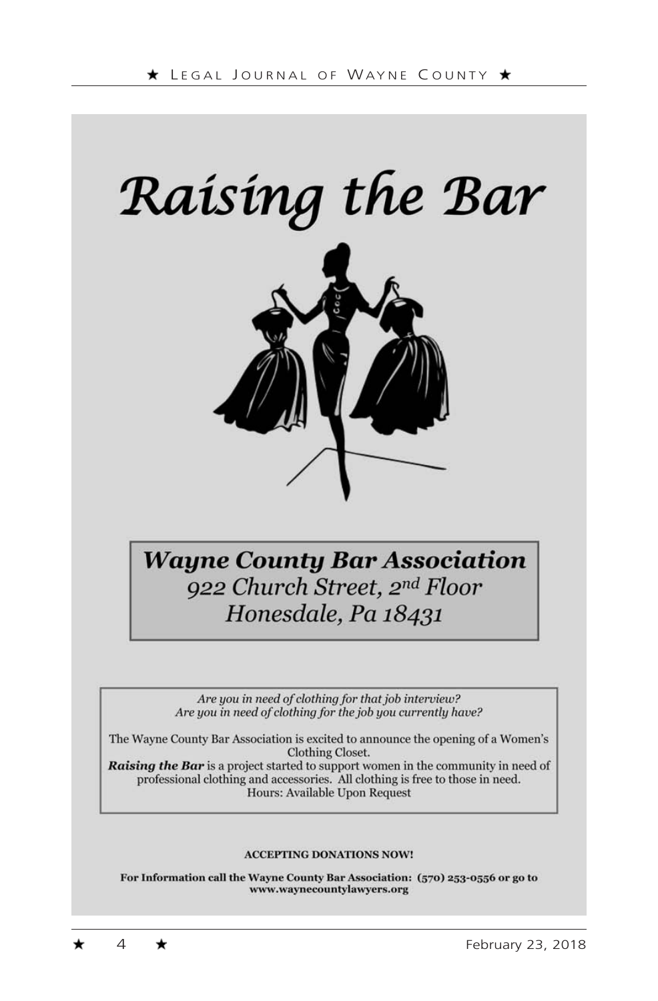



# **Wayne County Bar Association** 922 Church Street, 2nd Floor Honesdale, Pa 18431

Are you in need of clothing for that job interview? Are you in need of clothing for the job you currently have?

The Wayne County Bar Association is excited to announce the opening of a Women's Clothing Closet.

Raising the Bar is a project started to support women in the community in need of professional clothing and accessories. All clothing is free to those in need. Hours: Available Upon Request

#### **ACCEPTING DONATIONS NOW!**

For Information call the Wayne County Bar Association: (570) 253-0556 or go to www.waynecountylawyers.org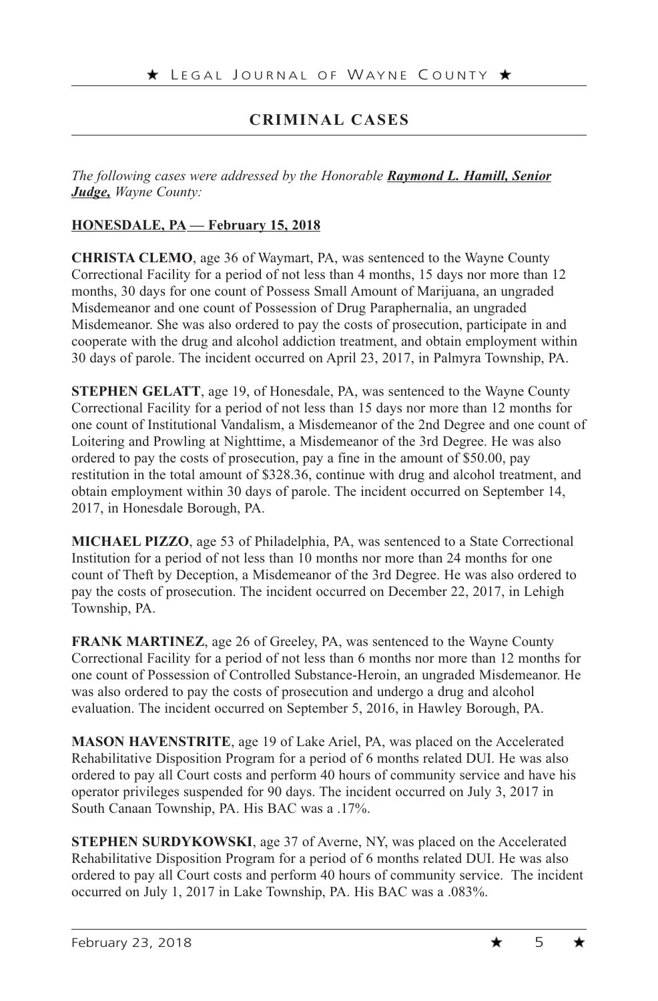# **CRIMINAL CASES**

*The following cases were addressed by the Honorable Raymond L. Hamill, Senior Judge, Wayne County:*

#### **HONESDALE, PA — February 15, 2018**

**CHRISTA CLEMO**, age 36 of Waymart, PA, was sentenced to the Wayne County Correctional Facility for a period of not less than 4 months, 15 days nor more than 12 months, 30 days for one count of Possess Small Amount of Marijuana, an ungraded Misdemeanor and one count of Possession of Drug Paraphernalia, an ungraded Misdemeanor. She was also ordered to pay the costs of prosecution, participate in and cooperate with the drug and alcohol addiction treatment, and obtain employment within 30 days of parole. The incident occurred on April 23, 2017, in Palmyra Township, PA.

**STEPHEN GELATT**, age 19, of Honesdale, PA, was sentenced to the Wayne County Correctional Facility for a period of not less than 15 days nor more than 12 months for one count of Institutional Vandalism, a Misdemeanor of the 2nd Degree and one count of Loitering and Prowling at Nighttime, a Misdemeanor of the 3rd Degree. He was also ordered to pay the costs of prosecution, pay a fine in the amount of \$50.00, pay restitution in the total amount of \$328.36, continue with drug and alcohol treatment, and obtain employment within 30 days of parole. The incident occurred on September 14, 2017, in Honesdale Borough, PA.

**MICHAEL PIZZO**, age 53 of Philadelphia, PA, was sentenced to a State Correctional Institution for a period of not less than 10 months nor more than 24 months for one count of Theft by Deception, a Misdemeanor of the 3rd Degree. He was also ordered to pay the costs of prosecution. The incident occurred on December 22, 2017, in Lehigh Township, PA.

**FRANK MARTINEZ**, age 26 of Greeley, PA, was sentenced to the Wayne County Correctional Facility for a period of not less than 6 months nor more than 12 months for one count of Possession of Controlled Substance-Heroin, an ungraded Misdemeanor. He was also ordered to pay the costs of prosecution and undergo a drug and alcohol evaluation. The incident occurred on September 5, 2016, in Hawley Borough, PA.

**MASON HAVENSTRITE**, age 19 of Lake Ariel, PA, was placed on the Accelerated Rehabilitative Disposition Program for a period of 6 months related DUI. He was also ordered to pay all Court costs and perform 40 hours of community service and have his operator privileges suspended for 90 days. The incident occurred on July 3, 2017 in South Canaan Township, PA. His BAC was a .17%.

**STEPHEN SURDYKOWSKI**, age 37 of Averne, NY, was placed on the Accelerated Rehabilitative Disposition Program for a period of 6 months related DUI. He was also ordered to pay all Court costs and perform 40 hours of community service. The incident occurred on July 1, 2017 in Lake Township, PA. His BAC was a .083%.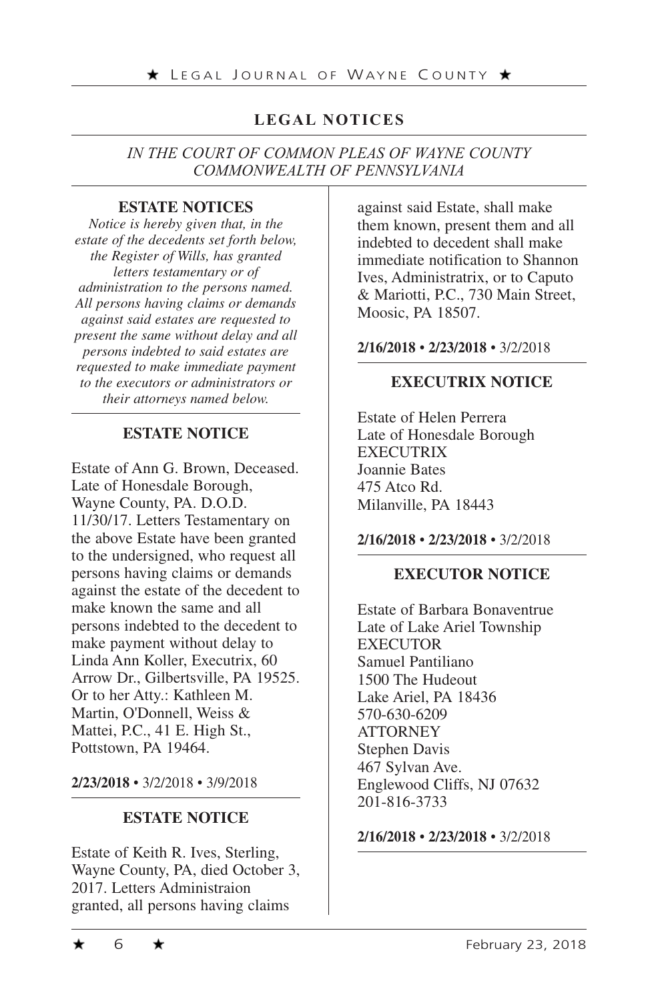# **LEGAL NOTICES**

#### *IN THE COURT OF COMMON PLEAS OF WAYNE COUNTY COMMONWEALTH OF PENNSYLVANIA*

#### **ESTATE NOTICES**

*Notice is hereby given that, in the estate of the decedents set forth below, the Register of Wills, has granted letters testamentary or of administration to the persons named. All persons having claims or demands against said estates are requested to present the same without delay and all persons indebted to said estates are requested to make immediate payment to the executors or administrators or their attorneys named below.*

#### **ESTATE NOTICE**

Estate of Ann G. Brown, Deceased. Late of Honesdale Borough, Wayne County, PA. D.O.D. 11/30/17. Letters Testamentary on the above Estate have been granted to the undersigned, who request all persons having claims or demands against the estate of the decedent to make known the same and all persons indebted to the decedent to make payment without delay to Linda Ann Koller, Executrix, 60 Arrow Dr., Gilbertsville, PA 19525. Or to her Atty.: Kathleen M. Martin, O'Donnell, Weiss & Mattei, P.C., 41 E. High St., Pottstown, PA 19464.

**2/23/2018** • 3/2/2018 • 3/9/2018

#### **ESTATE NOTICE**

Estate of Keith R. Ives, Sterling, Wayne County, PA, died October 3, 2017. Letters Administraion granted, all persons having claims

against said Estate, shall make them known, present them and all indebted to decedent shall make immediate notification to Shannon Ives, Administratrix, or to Caputo & Mariotti, P.C., 730 Main Street, Moosic, PA 18507.

#### **2/16/2018** • **2/23/2018** • 3/2/2018

#### **EXECUTRIX NOTICE**

Estate of Helen Perrera Late of Honesdale Borough EXECUTRIX Joannie Bates 475 Atco Rd. Milanville, PA 18443

#### **2/16/2018** • **2/23/2018** • 3/2/2018

#### **EXECUTOR NOTICE**

Estate of Barbara Bonaventrue Late of Lake Ariel Township **EXECUTOR** Samuel Pantiliano 1500 The Hudeout Lake Ariel, PA 18436 570-630-6209 **ATTORNEY** Stephen Davis 467 Sylvan Ave. Englewood Cliffs, NJ 07632 201-816-3733

**2/16/2018** • **2/23/2018** • 3/2/2018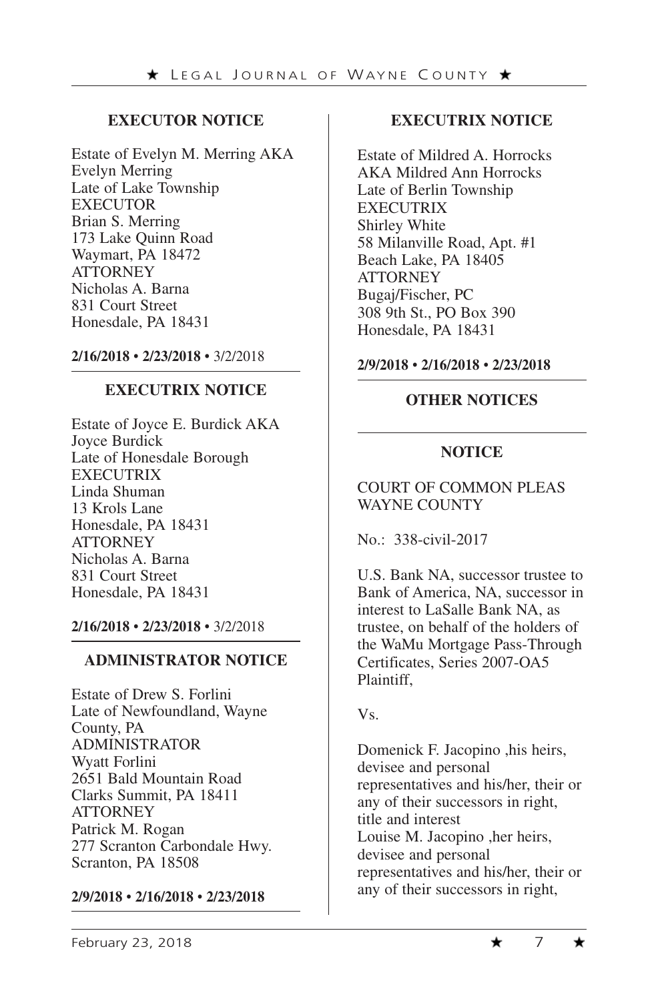# **EXECUTOR NOTICE**

Estate of Evelyn M. Merring AKA Evelyn Merring Late of Lake Township EXECUTOR Brian S. Merring 173 Lake Quinn Road Waymart, PA 18472 **ATTORNEY** Nicholas A. Barna 831 Court Street Honesdale, PA 18431

**2/16/2018** • **2/23/2018** • 3/2/2018

#### **EXECUTRIX NOTICE**

Estate of Joyce E. Burdick AKA Joyce Burdick Late of Honesdale Borough EXECUTRIX Linda Shuman 13 Krols Lane Honesdale, PA 18431 **ATTORNEY** Nicholas A. Barna 831 Court Street Honesdale, PA 18431

**2/16/2018** • **2/23/2018** • 3/2/2018

#### **ADMINISTRATOR NOTICE**

Estate of Drew S. Forlini Late of Newfoundland, Wayne County, PA ADMINISTRATOR Wyatt Forlini 2651 Bald Mountain Road Clarks Summit, PA 18411 **ATTORNEY** Patrick M. Rogan 277 Scranton Carbondale Hwy. Scranton, PA 18508

#### **2/9/2018** • **2/16/2018** • **2/23/2018**

# **EXECUTRIX NOTICE**

Estate of Mildred A. Horrocks AKA Mildred Ann Horrocks Late of Berlin Township EXECUTRIX Shirley White 58 Milanville Road, Apt. #1 Beach Lake, PA 18405 **ATTORNEY** Bugaj/Fischer, PC 308 9th St., PO Box 390 Honesdale, PA 18431

#### **2/9/2018** • **2/16/2018** • **2/23/2018**

# **OTHER NOTICES**

# **NOTICE**

# COURT OF COMMON PLEAS WAYNE COUNTY

No.: 338-civil-2017

U.S. Bank NA, successor trustee to Bank of America, NA, successor in interest to LaSalle Bank NA, as trustee, on behalf of the holders of the WaMu Mortgage Pass-Through Certificates, Series 2007-OA5 Plaintiff,

Vs.

Domenick F. Jacopino ,his heirs, devisee and personal representatives and his/her, their or any of their successors in right, title and interest Louise M. Jacopino ,her heirs, devisee and personal representatives and his/her, their or any of their successors in right,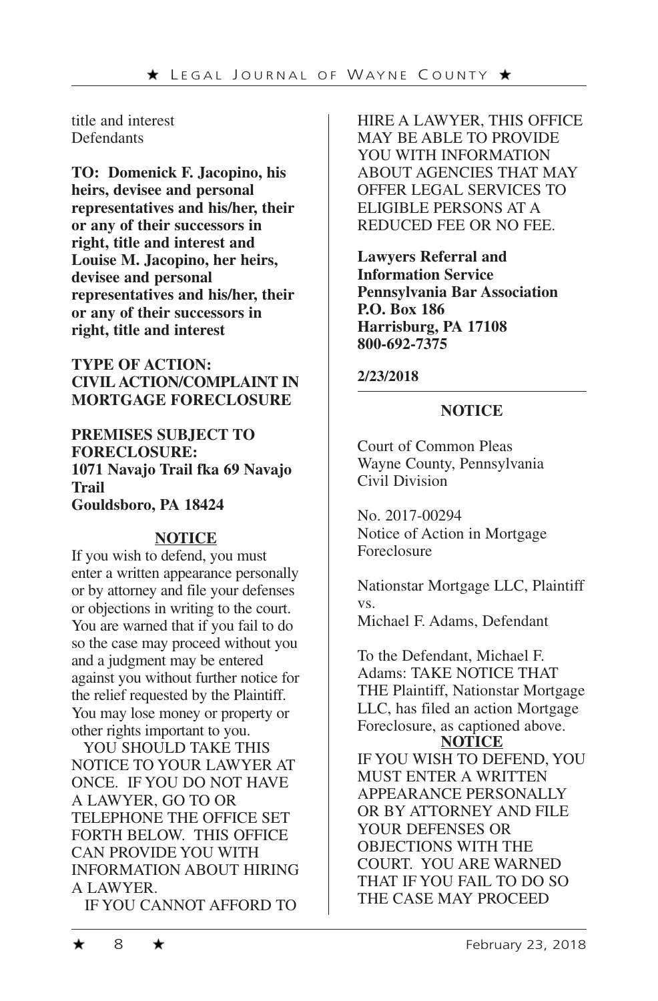title and interest **Defendants** 

**TO: Domenick F. Jacopino, his heirs, devisee and personal representatives and his/her, their or any of their successors in right, title and interest and Louise M. Jacopino, her heirs, devisee and personal representatives and his/her, their or any of their successors in right, title and interest**

**TYPE OF ACTION: CIVIL ACTION/COMPLAINT IN MORTGAGE FORECLOSURE**

**PREMISES SUBJECT TO FORECLOSURE: 1071 Navajo Trail fka 69 Navajo Trail Gouldsboro, PA 18424**

# **NOTICE**

If you wish to defend, you must enter a written appearance personally or by attorney and file your defenses or objections in writing to the court. You are warned that if you fail to do so the case may proceed without you and a judgment may be entered against you without further notice for the relief requested by the Plaintiff. You may lose money or property or other rights important to you.

YOU SHOULD TAKE THIS NOTICE TO YOUR LAWYER AT ONCE. IF YOU DO NOT HAVE A LAWYER, GO TO OR TELEPHONE THE OFFICE SET FORTH BELOW. THIS OFFICE CAN PROVIDE YOU WITH INFORMATION ABOUT HIRING A LAWYER.

IF YOU CANNOT AFFORD TO

HIRE A LAWYER, THIS OFFICE MAY BE ABLE TO PROVIDE YOU WITH INFORMATION ABOUT AGENCIES THAT MAY OFFER LEGAL SERVICES TO ELIGIBLE PERSONS AT A REDUCED FEE OR NO FEE.

**Lawyers Referral and Information Service Pennsylvania Bar Association P.O. Box 186 Harrisburg, PA 17108 800-692-7375**

#### **2/23/2018**

#### **NOTICE**

Court of Common Pleas Wayne County, Pennsylvania Civil Division

No. 2017-00294 Notice of Action in Mortgage Foreclosure

Nationstar Mortgage LLC, Plaintiff vs. Michael F. Adams, Defendant

To the Defendant, Michael F. Adams: TAKE NOTICE THAT THE Plaintiff, Nationstar Mortgage LLC, has filed an action Mortgage Foreclosure, as captioned above. **NOTICE** IF YOU WISH TO DEFEND, YOU MUST ENTER A WRITTEN APPEARANCE PERSONALLY OR BY ATTORNEY AND FILE YOUR DEFENSES OR OBJECTIONS WITH THE COURT. YOU ARE WARNED THAT IF YOU FAIL TO DO SO THE CASE MAY PROCEED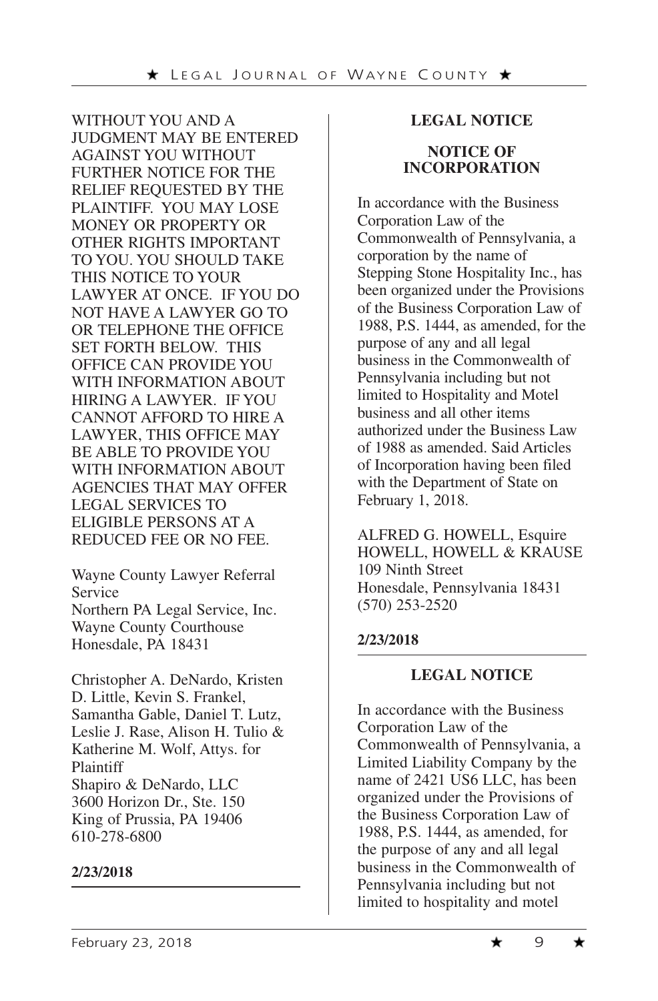WITHOUT YOU AND A JUDGMENT MAY BE ENTERED AGAINST YOU WITHOUT FURTHER NOTICE FOR THE RELIEF REQUESTED BY THE PLAINTIFF. YOU MAY LOSE MONEY OR PROPERTY OR OTHER RIGHTS IMPORTANT TO YOU. YOU SHOULD TAKE THIS NOTICE TO YOUR LAWYER AT ONCE. IF YOU DO NOT HAVE A LAWYER GO TO OR TELEPHONE THE OFFICE SET FORTH BELOW. THIS OFFICE CAN PROVIDE YOU WITH INFORMATION ABOUT HIRING A LAWYER. IF YOU CANNOT AFFORD TO HIRE A LAWYER, THIS OFFICE MAY BE ABLE TO PROVIDE YOU WITH INFORMATION ABOUT AGENCIES THAT MAY OFFER LEGAL SERVICES TO ELIGIBLE PERSONS AT A REDUCED FEE OR NO FEE.

Wayne County Lawyer Referral Service Northern PA Legal Service, Inc. Wayne County Courthouse Honesdale, PA 18431

Christopher A. DeNardo, Kristen D. Little, Kevin S. Frankel, Samantha Gable, Daniel T. Lutz, Leslie J. Rase, Alison H. Tulio & Katherine M. Wolf, Attys. for Plaintiff Shapiro & DeNardo, LLC 3600 Horizon Dr., Ste. 150 King of Prussia, PA 19406 610-278-6800

#### **2/23/2018**

#### **LEGAL NOTICE**

#### **NOTICE OF INCORPORATION**

In accordance with the Business Corporation Law of the Commonwealth of Pennsylvania, a corporation by the name of Stepping Stone Hospitality Inc., has been organized under the Provisions of the Business Corporation Law of 1988, P.S. 1444, as amended, for the purpose of any and all legal business in the Commonwealth of Pennsylvania including but not limited to Hospitality and Motel business and all other items authorized under the Business Law of 1988 as amended. Said Articles of Incorporation having been filed with the Department of State on February 1, 2018.

ALFRED G. HOWELL, Esquire HOWELL, HOWELL & KRAUSE 109 Ninth Street Honesdale, Pennsylvania 18431 (570) 253-2520

#### **2/23/2018**

#### **LEGAL NOTICE**

In accordance with the Business Corporation Law of the Commonwealth of Pennsylvania, a Limited Liability Company by the name of 2421 US6 LLC, has been organized under the Provisions of the Business Corporation Law of 1988, P.S. 1444, as amended, for the purpose of any and all legal business in the Commonwealth of Pennsylvania including but not limited to hospitality and motel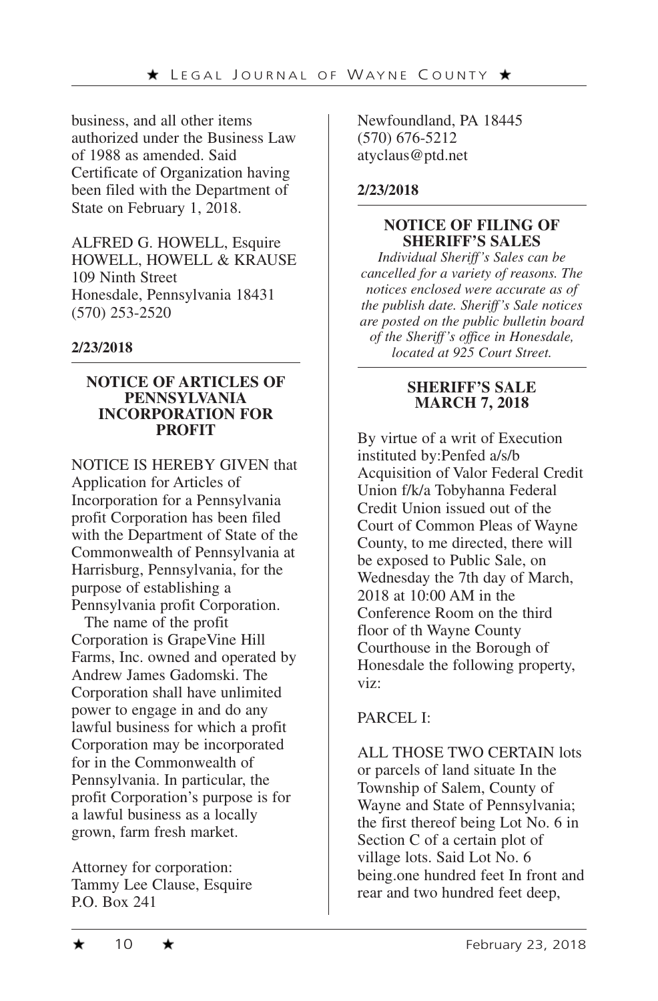business, and all other items authorized under the Business Law of 1988 as amended. Said Certificate of Organization having been filed with the Department of State on February 1, 2018.

ALFRED G. HOWELL, Esquire HOWELL, HOWELL & KRAUSE 109 Ninth Street Honesdale, Pennsylvania 18431 (570) 253-2520

#### **2/23/2018**

#### **NOTICE OF ARTICLES OF PENNSYLVANIA INCORPORATION FOR PROFIT**

NOTICE IS HEREBY GIVEN that Application for Articles of Incorporation for a Pennsylvania profit Corporation has been filed with the Department of State of the Commonwealth of Pennsylvania at Harrisburg, Pennsylvania, for the purpose of establishing a Pennsylvania profit Corporation.

The name of the profit Corporation is GrapeVine Hill Farms, Inc. owned and operated by Andrew James Gadomski. The Corporation shall have unlimited power to engage in and do any lawful business for which a profit Corporation may be incorporated for in the Commonwealth of Pennsylvania. In particular, the profit Corporation's purpose is for a lawful business as a locally grown, farm fresh market.

Attorney for corporation: Tammy Lee Clause, Esquire P.O. Box 241

Newfoundland, PA 18445 (570) 676-5212 atyclaus@ptd.net

#### **2/23/2018**

#### **NOTICE OF FILING OF SHERIFF'S SALES**

*Individual Sheriff's Sales can be cancelled for a variety of reasons. The notices enclosed were accurate as of the publish date. Sheriff's Sale notices are posted on the public bulletin board of the Sheriff's office in Honesdale, located at 925 Court Street.* 

#### **SHERIFF'S SALE MARCH 7, 2018**

By virtue of a writ of Execution instituted by:Penfed a/s/b Acquisition of Valor Federal Credit Union f/k/a Tobyhanna Federal Credit Union issued out of the Court of Common Pleas of Wayne County, to me directed, there will be exposed to Public Sale, on Wednesday the 7th day of March, 2018 at 10:00 AM in the Conference Room on the third floor of th Wayne County Courthouse in the Borough of Honesdale the following property, viz:

# PARCEL I:

ALL THOSE TWO CERTAIN lots or parcels of land situate In the Township of Salem, County of Wayne and State of Pennsylvania; the first thereof being Lot No. 6 in Section C of a certain plot of village lots. Said Lot No. 6 being.one hundred feet In front and rear and two hundred feet deep,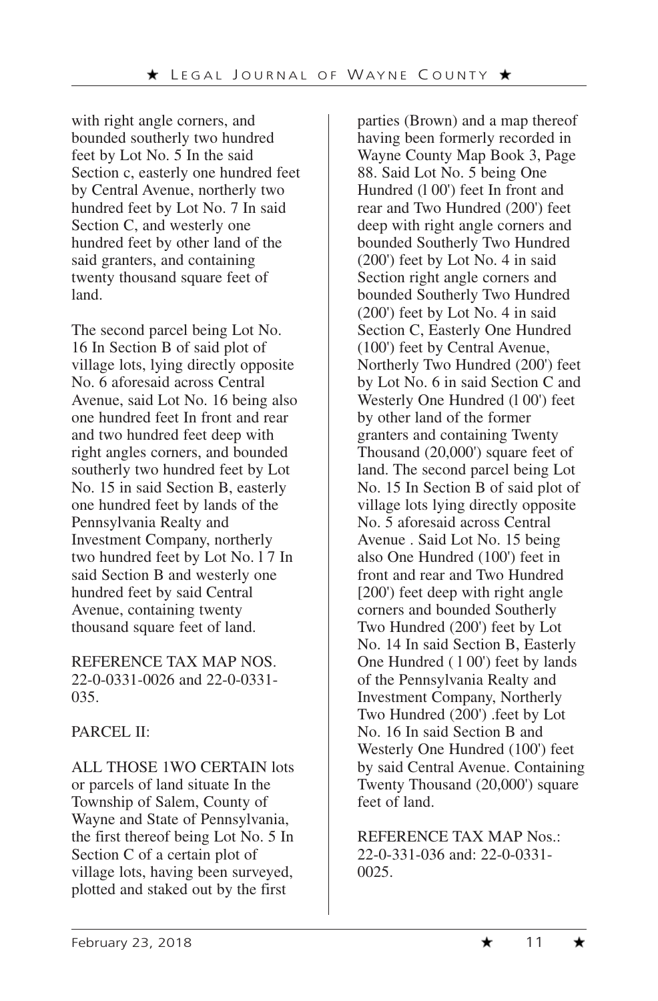with right angle corners, and bounded southerly two hundred feet by Lot No. 5 In the said Section c, easterly one hundred feet by Central Avenue, northerly two hundred feet by Lot No. 7 In said Section C, and westerly one hundred feet by other land of the said granters, and containing twenty thousand square feet of land.

The second parcel being Lot No. 16 In Section B of said plot of village lots, lying directly opposite No. 6 aforesaid across Central Avenue, said Lot No. 16 being also one hundred feet In front and rear and two hundred feet deep with right angles corners, and bounded southerly two hundred feet by Lot No. 15 in said Section B, easterly one hundred feet by lands of the Pennsylvania Realty and Investment Company, northerly two hundred feet by Lot No. l 7 In said Section B and westerly one hundred feet by said Central Avenue, containing twenty thousand square feet of land.

REFERENCE TAX MAP NOS. 22-0-0331-0026 and 22-0-0331- 035.

# PARCEL II:

ALL THOSE 1WO CERTAIN lots or parcels of land situate In the Township of Salem, County of Wayne and State of Pennsylvania, the first thereof being Lot No. 5 In Section C of a certain plot of village lots, having been surveyed, plotted and staked out by the first

parties (Brown) and a map thereof having been formerly recorded in Wayne County Map Book 3, Page 88. Said Lot No. 5 being One Hundred (l 00') feet In front and rear and Two Hundred (200') feet deep with right angle corners and bounded Southerly Two Hundred (200') feet by Lot No. 4 in said Section right angle corners and bounded Southerly Two Hundred (200') feet by Lot No. 4 in said Section C, Easterly One Hundred (100') feet by Central Avenue, Northerly Two Hundred (200') feet by Lot No. 6 in said Section C and Westerly One Hundred (100') feet by other land of the former granters and containing Twenty Thousand (20,000') square feet of land. The second parcel being Lot No. 15 In Section B of said plot of village lots lying directly opposite No. 5 aforesaid across Central Avenue . Said Lot No. 15 being also One Hundred (100') feet in front and rear and Two Hundred [200') feet deep with right angle corners and bounded Southerly Two Hundred (200') feet by Lot No. 14 In said Section B, Easterly One Hundred (100') feet by lands of the Pennsylvania Realty and Investment Company, Northerly Two Hundred (200') .feet by Lot No. 16 In said Section B and Westerly One Hundred (100') feet by said Central Avenue. Containing Twenty Thousand (20,000') square feet of land.

REFERENCE TAX MAP Nos.: 22-0-331-036 and: 22-0-0331- 0025.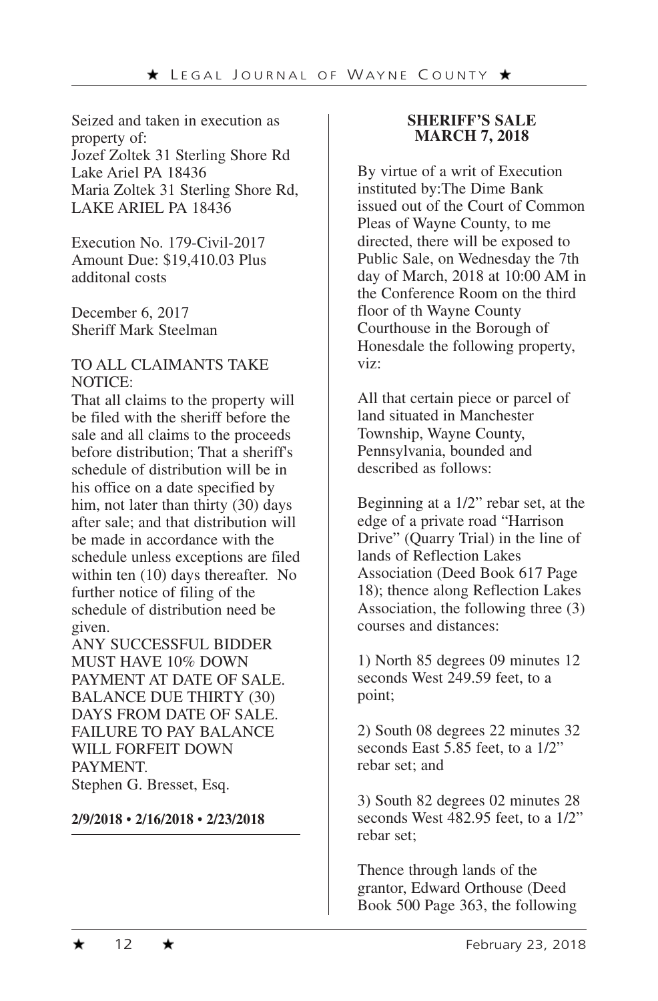Seized and taken in execution as property of: Jozef Zoltek 31 Sterling Shore Rd Lake Ariel PA 18436 Maria Zoltek 31 Sterling Shore Rd, LAKE ARIEL PA 18436

Execution No. 179-Civil-2017 Amount Due: \$19,410.03 Plus additonal costs

December 6, 2017 Sheriff Mark Steelman

#### TO ALL CLAIMANTS TAKE NOTICE:

That all claims to the property will be filed with the sheriff before the sale and all claims to the proceeds before distribution; That a sheriff's schedule of distribution will be in his office on a date specified by him, not later than thirty (30) days after sale; and that distribution will be made in accordance with the schedule unless exceptions are filed within ten (10) days thereafter. No further notice of filing of the schedule of distribution need be given.

ANY SUCCESSFUL BIDDER MUST HAVE 10% DOWN PAYMENT AT DATE OF SALE. BALANCE DUE THIRTY (30) DAYS FROM DATE OF SALE. FAILURE TO PAY BALANCE WILL FORFEIT DOWN PAYMENT. Stephen G. Bresset, Esq.

**2/9/2018** • **2/16/2018** • **2/23/2018**

#### **SHERIFF'S SALE MARCH 7, 2018**

By virtue of a writ of Execution instituted by:The Dime Bank issued out of the Court of Common Pleas of Wayne County, to me directed, there will be exposed to Public Sale, on Wednesday the 7th day of March, 2018 at 10:00 AM in the Conference Room on the third floor of th Wayne County Courthouse in the Borough of Honesdale the following property, viz:

All that certain piece or parcel of land situated in Manchester Township, Wayne County, Pennsylvania, bounded and described as follows:

Beginning at a 1/2" rebar set, at the edge of a private road "Harrison Drive" (Quarry Trial) in the line of lands of Reflection Lakes Association (Deed Book 617 Page 18); thence along Reflection Lakes Association, the following three (3) courses and distances:

1) North 85 degrees 09 minutes 12 seconds West 249.59 feet, to a point;

2) South 08 degrees 22 minutes 32 seconds East 5.85 feet, to a 1/2" rebar set; and

3) South 82 degrees 02 minutes 28 seconds West 482.95 feet, to a 1/2" rebar set;

Thence through lands of the grantor, Edward Orthouse (Deed Book 500 Page 363, the following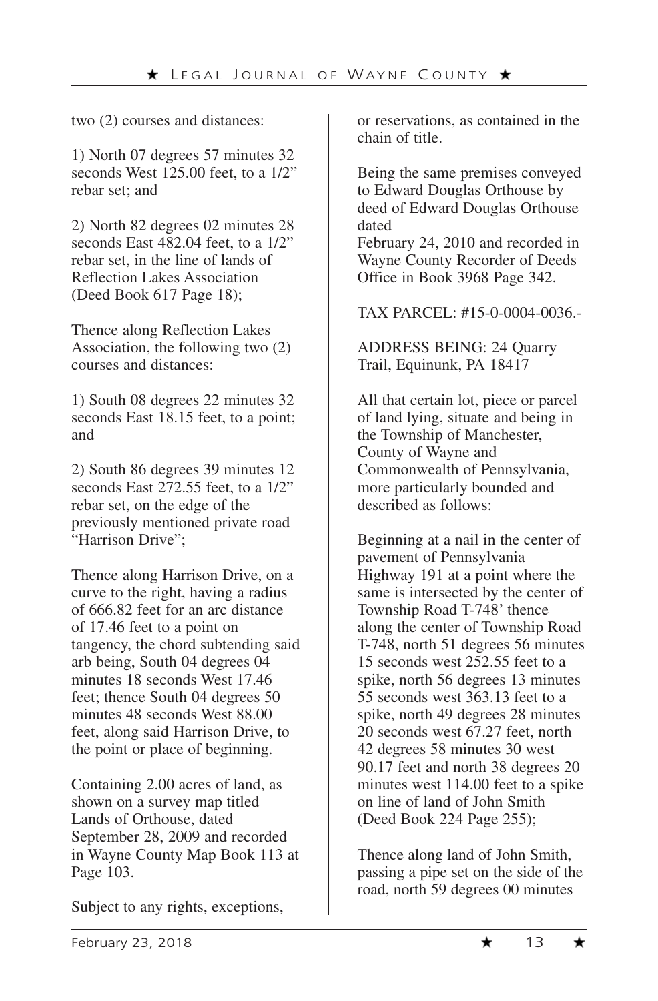two (2) courses and distances:

1) North 07 degrees 57 minutes 32 seconds West 125.00 feet, to a 1/2" rebar set; and

2) North 82 degrees 02 minutes 28 seconds East 482.04 feet, to a 1/2" rebar set, in the line of lands of Reflection Lakes Association (Deed Book 617 Page 18);

Thence along Reflection Lakes Association, the following two (2) courses and distances:

1) South 08 degrees 22 minutes 32 seconds East 18.15 feet, to a point; and

2) South 86 degrees 39 minutes 12 seconds East 272.55 feet, to a 1/2" rebar set, on the edge of the previously mentioned private road "Harrison Drive";

Thence along Harrison Drive, on a curve to the right, having a radius of 666.82 feet for an arc distance of 17.46 feet to a point on tangency, the chord subtending said arb being, South 04 degrees 04 minutes 18 seconds West 17.46 feet; thence South 04 degrees 50 minutes 48 seconds West 88.00 feet, along said Harrison Drive, to the point or place of beginning.

Containing 2.00 acres of land, as shown on a survey map titled Lands of Orthouse, dated September 28, 2009 and recorded in Wayne County Map Book 113 at Page 103.

Subject to any rights, exceptions,

or reservations, as contained in the chain of title.

Being the same premises conveyed to Edward Douglas Orthouse by deed of Edward Douglas Orthouse dated

February 24, 2010 and recorded in Wayne County Recorder of Deeds Office in Book 3968 Page 342.

TAX PARCEL: #15-0-0004-0036.-

ADDRESS BEING: 24 Quarry Trail, Equinunk, PA 18417

All that certain lot, piece or parcel of land lying, situate and being in the Township of Manchester, County of Wayne and Commonwealth of Pennsylvania, more particularly bounded and described as follows:

Beginning at a nail in the center of pavement of Pennsylvania Highway 191 at a point where the same is intersected by the center of Township Road T-748' thence along the center of Township Road T-748, north 51 degrees 56 minutes 15 seconds west 252.55 feet to a spike, north 56 degrees 13 minutes 55 seconds west 363.13 feet to a spike, north 49 degrees 28 minutes 20 seconds west 67.27 feet, north 42 degrees 58 minutes 30 west 90.17 feet and north 38 degrees 20 minutes west 114.00 feet to a spike on line of land of John Smith (Deed Book 224 Page 255);

Thence along land of John Smith, passing a pipe set on the side of the road, north 59 degrees 00 minutes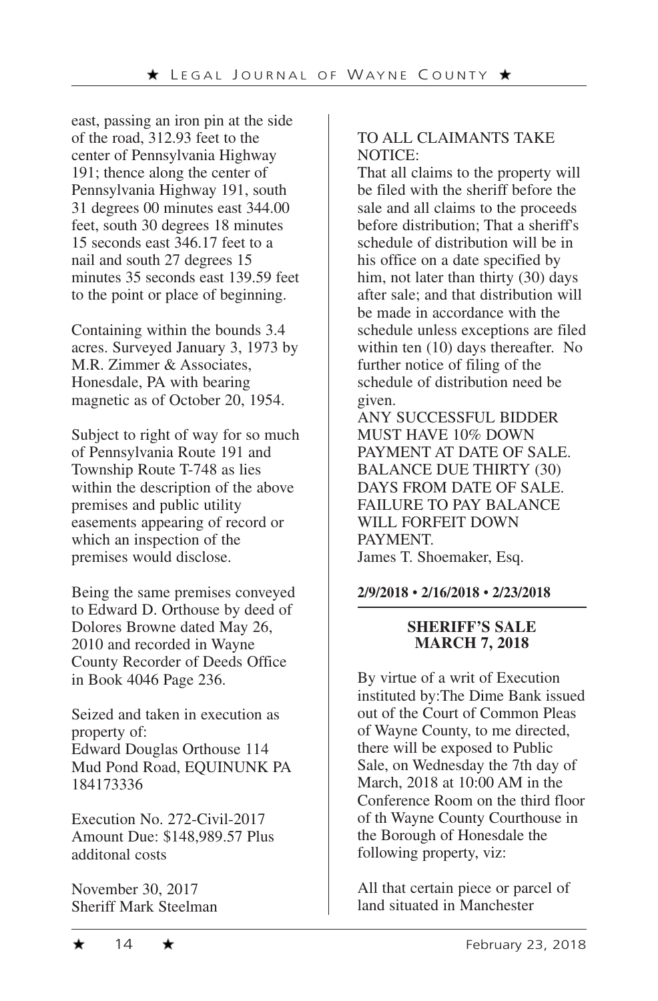east, passing an iron pin at the side of the road, 312.93 feet to the center of Pennsylvania Highway 191; thence along the center of Pennsylvania Highway 191, south 31 degrees 00 minutes east 344.00 feet, south 30 degrees 18 minutes 15 seconds east 346.17 feet to a nail and south 27 degrees 15 minutes 35 seconds east 139.59 feet to the point or place of beginning.

Containing within the bounds 3.4 acres. Surveyed January 3, 1973 by M.R. Zimmer & Associates, Honesdale, PA with bearing magnetic as of October 20, 1954.

Subject to right of way for so much of Pennsylvania Route 191 and Township Route T-748 as lies within the description of the above premises and public utility easements appearing of record or which an inspection of the premises would disclose.

Being the same premises conveyed to Edward D. Orthouse by deed of Dolores Browne dated May 26, 2010 and recorded in Wayne County Recorder of Deeds Office in Book 4046 Page 236.

Seized and taken in execution as property of: Edward Douglas Orthouse 114 Mud Pond Road, EQUINUNK PA 184173336

Execution No. 272-Civil-2017 Amount Due: \$148,989.57 Plus additonal costs

November 30, 2017 Sheriff Mark Steelman

# TO ALL CLAIMANTS TAKE NOTICE:

That all claims to the property will be filed with the sheriff before the sale and all claims to the proceeds before distribution; That a sheriff's schedule of distribution will be in his office on a date specified by him, not later than thirty (30) days after sale; and that distribution will be made in accordance with the schedule unless exceptions are filed within ten (10) days thereafter. No further notice of filing of the schedule of distribution need be given.

ANY SUCCESSFUL BIDDER MUST HAVE 10% DOWN PAYMENT AT DATE OF SALE. BALANCE DUE THIRTY (30) DAYS FROM DATE OF SALE. FAILURE TO PAY BALANCE WILL FORFEIT DOWN PAYMENT. James T. Shoemaker, Esq.

# **2/9/2018** • **2/16/2018** • **2/23/2018**

#### **SHERIFF'S SALE MARCH 7, 2018**

By virtue of a writ of Execution instituted by:The Dime Bank issued out of the Court of Common Pleas of Wayne County, to me directed, there will be exposed to Public Sale, on Wednesday the 7th day of March, 2018 at 10:00 AM in the Conference Room on the third floor of th Wayne County Courthouse in the Borough of Honesdale the following property, viz:

All that certain piece or parcel of land situated in Manchester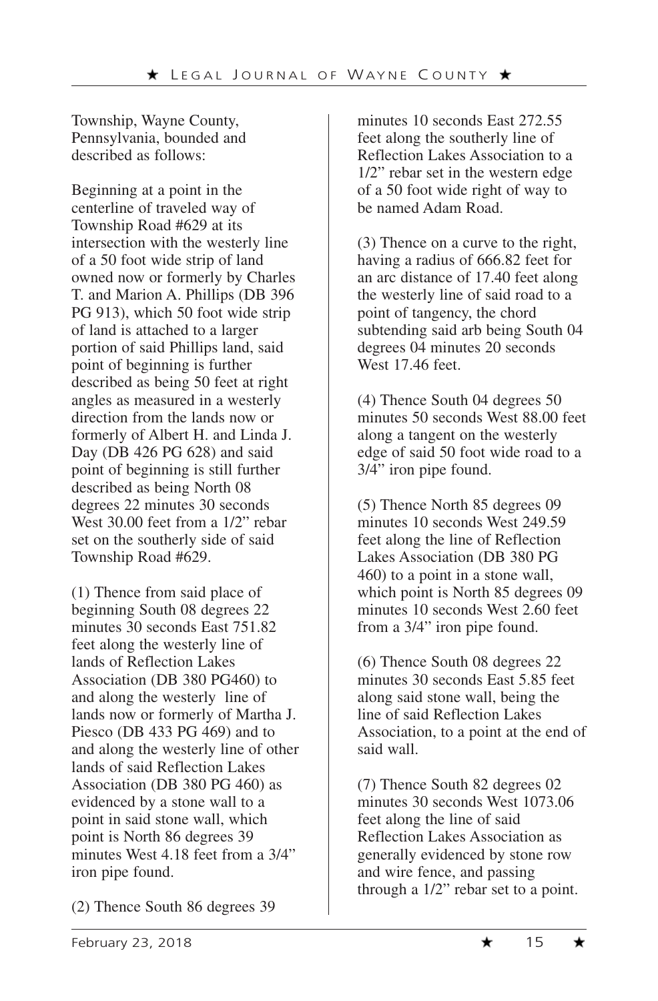Township, Wayne County, Pennsylvania, bounded and described as follows:

Beginning at a point in the centerline of traveled way of Township Road #629 at its intersection with the westerly line of a 50 foot wide strip of land owned now or formerly by Charles T. and Marion A. Phillips (DB 396 PG 913), which 50 foot wide strip of land is attached to a larger portion of said Phillips land, said point of beginning is further described as being 50 feet at right angles as measured in a westerly direction from the lands now or formerly of Albert H. and Linda J. Day (DB 426 PG 628) and said point of beginning is still further described as being North 08 degrees 22 minutes 30 seconds West 30.00 feet from a 1/2" rebar set on the southerly side of said Township Road #629.

(1) Thence from said place of beginning South 08 degrees 22 minutes 30 seconds East 751.82 feet along the westerly line of lands of Reflection Lakes Association (DB 380 PG460) to and along the westerly line of lands now or formerly of Martha J. Piesco (DB 433 PG 469) and to and along the westerly line of other lands of said Reflection Lakes Association (DB 380 PG 460) as evidenced by a stone wall to a point in said stone wall, which point is North 86 degrees 39 minutes West 4.18 feet from a 3/4" iron pipe found.

minutes 10 seconds East 272.55 feet along the southerly line of Reflection Lakes Association to a 1/2" rebar set in the western edge of a 50 foot wide right of way to be named Adam Road.

(3) Thence on a curve to the right, having a radius of 666.82 feet for an arc distance of 17.40 feet along the westerly line of said road to a point of tangency, the chord subtending said arb being South 04 degrees 04 minutes 20 seconds West 17.46 feet.

(4) Thence South 04 degrees 50 minutes 50 seconds West 88.00 feet along a tangent on the westerly edge of said 50 foot wide road to a 3/4" iron pipe found.

(5) Thence North 85 degrees 09 minutes 10 seconds West 249.59 feet along the line of Reflection Lakes Association (DB 380 PG 460) to a point in a stone wall, which point is North 85 degrees 09 minutes 10 seconds West 2.60 feet from a 3/4" iron pipe found.

(6) Thence South 08 degrees 22 minutes 30 seconds East 5.85 feet along said stone wall, being the line of said Reflection Lakes Association, to a point at the end of said wall.

(7) Thence South 82 degrees 02 minutes 30 seconds West 1073.06 feet along the line of said Reflection Lakes Association as generally evidenced by stone row and wire fence, and passing through a 1/2" rebar set to a point.

(2) Thence South 86 degrees 39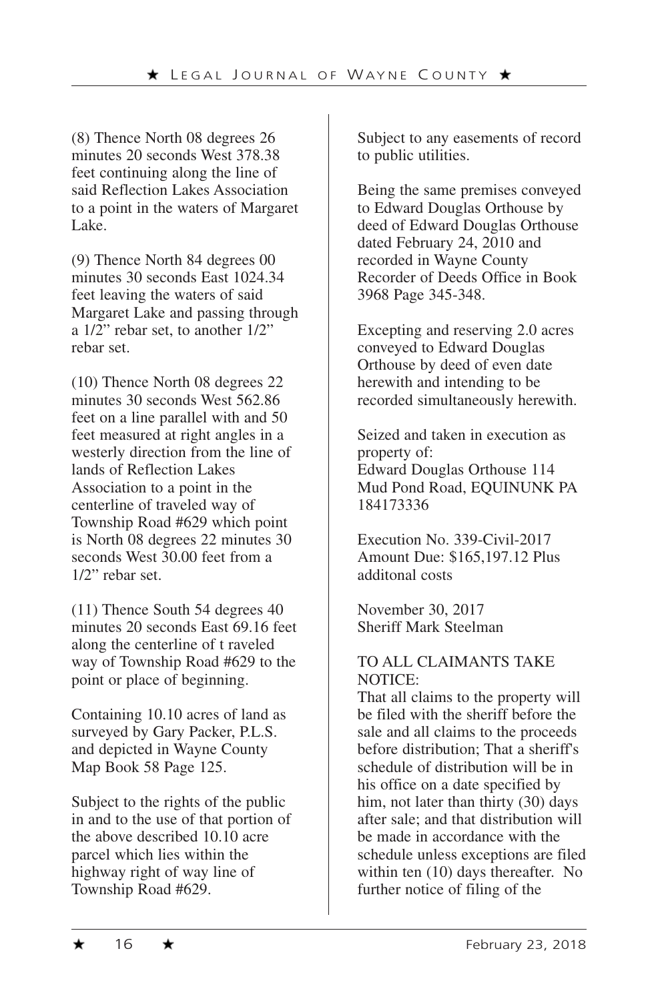(8) Thence North 08 degrees 26 minutes 20 seconds West 378.38 feet continuing along the line of said Reflection Lakes Association to a point in the waters of Margaret Lake.

(9) Thence North 84 degrees 00 minutes 30 seconds East 1024.34 feet leaving the waters of said Margaret Lake and passing through a 1/2" rebar set, to another 1/2" rebar set.

(10) Thence North 08 degrees 22 minutes 30 seconds West 562.86 feet on a line parallel with and 50 feet measured at right angles in a westerly direction from the line of lands of Reflection Lakes Association to a point in the centerline of traveled way of Township Road #629 which point is North 08 degrees 22 minutes 30 seconds West 30.00 feet from a 1/2" rebar set.

(11) Thence South 54 degrees 40 minutes 20 seconds East 69.16 feet along the centerline of t raveled way of Township Road #629 to the point or place of beginning.

Containing 10.10 acres of land as surveyed by Gary Packer, P.L.S. and depicted in Wayne County Map Book 58 Page 125.

Subject to the rights of the public in and to the use of that portion of the above described 10.10 acre parcel which lies within the highway right of way line of Township Road #629.

Subject to any easements of record to public utilities.

Being the same premises conveyed to Edward Douglas Orthouse by deed of Edward Douglas Orthouse dated February 24, 2010 and recorded in Wayne County Recorder of Deeds Office in Book 3968 Page 345-348.

Excepting and reserving 2.0 acres conveyed to Edward Douglas Orthouse by deed of even date herewith and intending to be recorded simultaneously herewith.

Seized and taken in execution as property of: Edward Douglas Orthouse 114 Mud Pond Road, EQUINUNK PA 184173336

Execution No. 339-Civil-2017 Amount Due: \$165,197.12 Plus additonal costs

November 30, 2017 Sheriff Mark Steelman

#### TO ALL CLAIMANTS TAKE NOTICE:

That all claims to the property will be filed with the sheriff before the sale and all claims to the proceeds before distribution; That a sheriff's schedule of distribution will be in his office on a date specified by him, not later than thirty (30) days after sale; and that distribution will be made in accordance with the schedule unless exceptions are filed within ten (10) days thereafter. No further notice of filing of the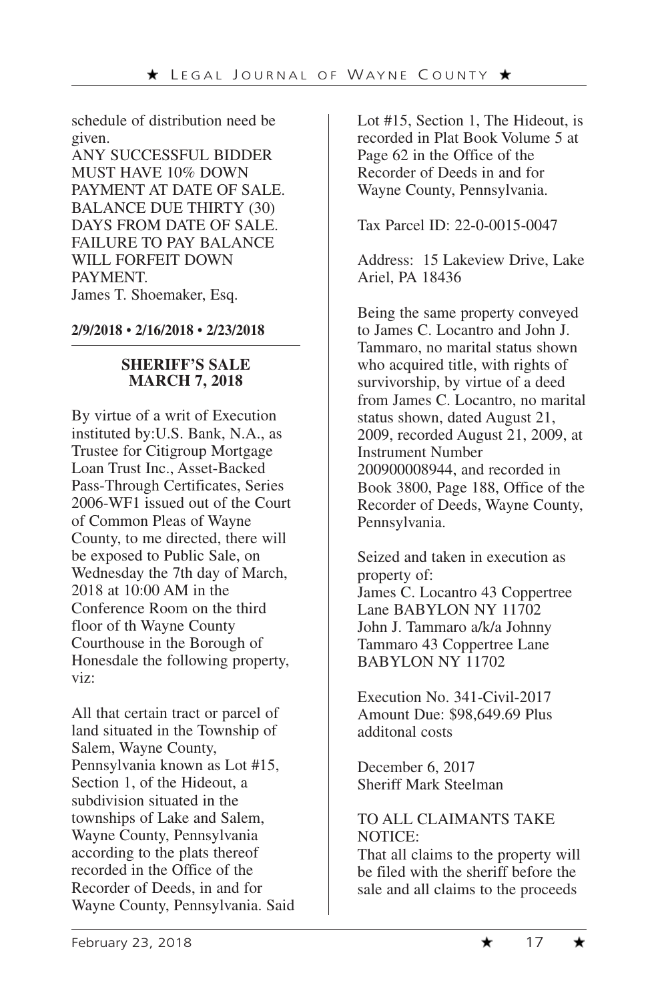schedule of distribution need be given.

ANY SUCCESSFUL BIDDER MUST HAVE 10% DOWN PAYMENT AT DATE OF SALE. BALANCE DUE THIRTY (30) DAYS FROM DATE OF SALE. FAILURE TO PAY BALANCE WILL FORFEIT DOWN **PAYMENT** James T. Shoemaker, Esq.

**2/9/2018** • **2/16/2018** • **2/23/2018**

#### **SHERIFF'S SALE MARCH 7, 2018**

By virtue of a writ of Execution instituted by:U.S. Bank, N.A., as Trustee for Citigroup Mortgage Loan Trust Inc., Asset-Backed Pass-Through Certificates, Series 2006-WF1 issued out of the Court of Common Pleas of Wayne County, to me directed, there will be exposed to Public Sale, on Wednesday the 7th day of March, 2018 at 10:00 AM in the Conference Room on the third floor of th Wayne County Courthouse in the Borough of Honesdale the following property, viz:

All that certain tract or parcel of land situated in the Township of Salem, Wayne County, Pennsylvania known as Lot #15, Section 1, of the Hideout, a subdivision situated in the townships of Lake and Salem, Wayne County, Pennsylvania according to the plats thereof recorded in the Office of the Recorder of Deeds, in and for Wayne County, Pennsylvania. Said Lot #15, Section 1, The Hideout, is recorded in Plat Book Volume 5 at Page 62 in the Office of the Recorder of Deeds in and for Wayne County, Pennsylvania.

Tax Parcel ID: 22-0-0015-0047

Address: 15 Lakeview Drive, Lake Ariel, PA 18436

Being the same property conveyed to James C. Locantro and John J. Tammaro, no marital status shown who acquired title, with rights of survivorship, by virtue of a deed from James C. Locantro, no marital status shown, dated August 21, 2009, recorded August 21, 2009, at Instrument Number 200900008944, and recorded in Book 3800, Page 188, Office of the Recorder of Deeds, Wayne County, Pennsylvania.

Seized and taken in execution as property of: James C. Locantro 43 Coppertree Lane BABYLON NY 11702 John J. Tammaro a/k/a Johnny Tammaro 43 Coppertree Lane BABYLON NY 11702

Execution No. 341-Civil-2017 Amount Due: \$98,649.69 Plus additonal costs

December 6, 2017 Sheriff Mark Steelman

#### TO ALL CLAIMANTS TAKE NOTICE:

That all claims to the property will be filed with the sheriff before the sale and all claims to the proceeds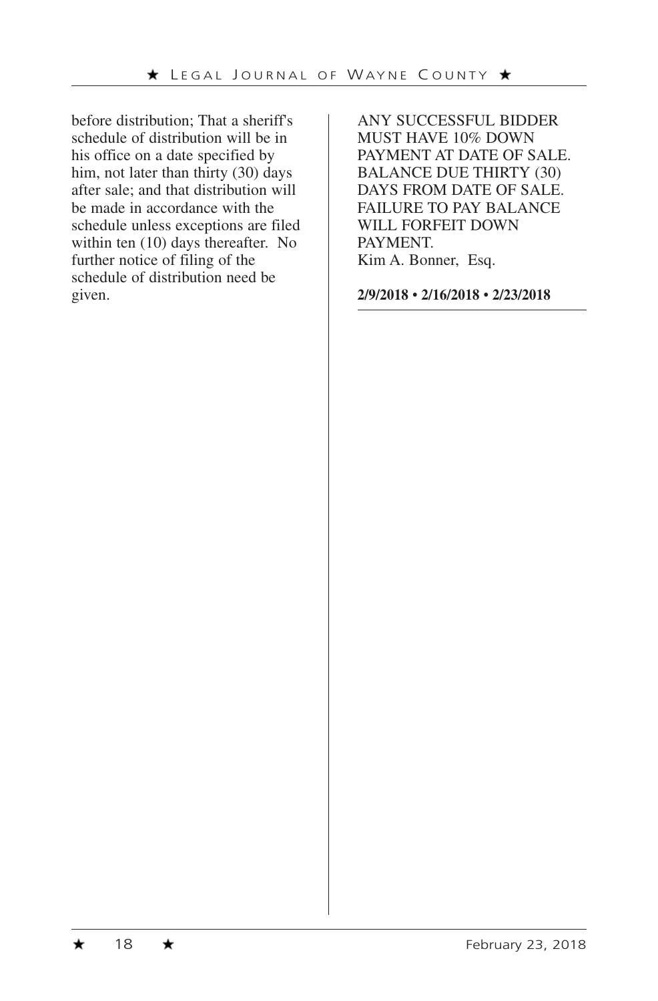before distribution; That a sheriff's schedule of distribution will be in his office on a date specified by him, not later than thirty (30) days after sale; and that distribution will be made in accordance with the schedule unless exceptions are filed within ten (10) days thereafter. No further notice of filing of the schedule of distribution need be given.

ANY SUCCESSFUL BIDDER MUST HAVE 10% DOWN PAYMENT AT DATE OF SALE. BALANCE DUE THIRTY (30) DAYS FROM DATE OF SALE. FAILURE TO PAY BALANCE WILL FORFEIT DOWN PAYMENT. Kim A. Bonner, Esq.

**2/9/2018** • **2/16/2018** • **2/23/2018**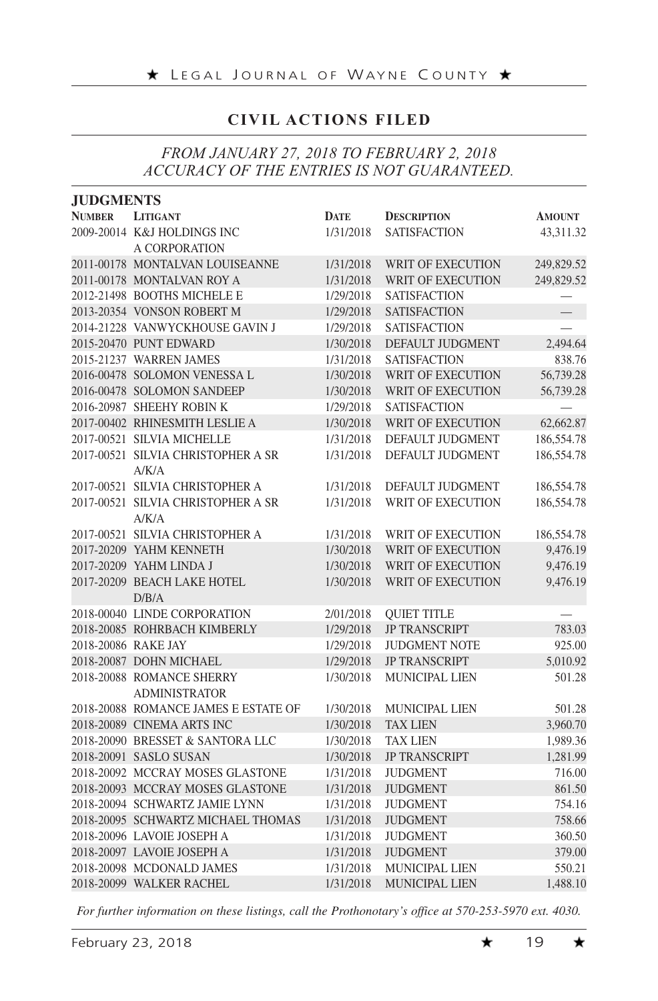# **CIVIL ACTIONS FILED**

# *FROM JANUARY 27, 2018 TO FEBRUARY 2, 2018 ACCURACY OF THE ENTRIES IS NOT GUARANTEED.*

| <b>JUDGMENTS</b> |                                      |             |                          |               |
|------------------|--------------------------------------|-------------|--------------------------|---------------|
| <b>NUMBER</b>    | <b>LITIGANT</b>                      | <b>DATE</b> | <b>DESCRIPTION</b>       | <b>AMOUNT</b> |
|                  | 2009-20014 K&J HOLDINGS INC          | 1/31/2018   | <b>SATISFACTION</b>      | 43,311.32     |
|                  | A CORPORATION                        |             |                          |               |
|                  | 2011-00178 MONTALVAN LOUISEANNE      | 1/31/2018   | WRIT OF EXECUTION        | 249,829.52    |
|                  | 2011-00178 MONTALVAN ROY A           | 1/31/2018   | WRIT OF EXECUTION        | 249,829.52    |
|                  | 2012-21498 BOOTHS MICHELE E          | 1/29/2018   | <b>SATISFACTION</b>      |               |
|                  | 2013-20354 VONSON ROBERT M           | 1/29/2018   | <b>SATISFACTION</b>      |               |
|                  | 2014-21228 VANWYCKHOUSE GAVIN J      | 1/29/2018   | <b>SATISFACTION</b>      |               |
|                  | 2015-20470 PUNT EDWARD               | 1/30/2018   | DEFAULT JUDGMENT         | 2,494.64      |
|                  | 2015-21237 WARREN JAMES              | 1/31/2018   | <b>SATISFACTION</b>      | 838.76        |
|                  | 2016-00478 SOLOMON VENESSA L         | 1/30/2018   | <b>WRIT OF EXECUTION</b> | 56,739.28     |
|                  | 2016-00478 SOLOMON SANDEEP           | 1/30/2018   | WRIT OF EXECUTION        | 56,739.28     |
|                  | 2016-20987 SHEEHY ROBIN K            | 1/29/2018   | <b>SATISFACTION</b>      |               |
|                  | 2017-00402 RHINESMITH LESLIE A       | 1/30/2018   | WRIT OF EXECUTION        | 62,662.87     |
|                  | 2017-00521 SILVIA MICHELLE           | 1/31/2018   | DEFAULT JUDGMENT         | 186,554.78    |
|                  | 2017-00521 SILVIA CHRISTOPHER A SR   | 1/31/2018   | DEFAULT JUDGMENT         | 186,554.78    |
|                  | A/K/A                                |             |                          |               |
|                  | 2017-00521 SILVIA CHRISTOPHER A      | 1/31/2018   | DEFAULT JUDGMENT         | 186,554.78    |
|                  | 2017-00521 SILVIA CHRISTOPHER A SR   | 1/31/2018   | WRIT OF EXECUTION        | 186,554.78    |
|                  | A/K/A                                |             |                          |               |
|                  | 2017-00521 SILVIA CHRISTOPHER A      | 1/31/2018   | WRIT OF EXECUTION        | 186,554.78    |
|                  | 2017-20209 YAHM KENNETH              | 1/30/2018   | WRIT OF EXECUTION        | 9,476.19      |
|                  | 2017-20209 YAHM LINDA J              | 1/30/2018   | WRIT OF EXECUTION        | 9,476.19      |
|                  | 2017-20209 BEACH LAKE HOTEL          | 1/30/2018   | WRIT OF EXECUTION        | 9,476.19      |
|                  | D/B/A                                |             |                          |               |
|                  | 2018-00040 LINDE CORPORATION         | 2/01/2018   | <b>QUIET TITLE</b>       |               |
|                  | 2018-20085 ROHRBACH KIMBERLY         | 1/29/2018   | <b>JP TRANSCRIPT</b>     | 783.03        |
|                  | 2018-20086 RAKE JAY                  | 1/29/2018   | <b>JUDGMENT NOTE</b>     | 925.00        |
|                  | 2018-20087 DOHN MICHAEL              | 1/29/2018   | <b>JP TRANSCRIPT</b>     | 5,010.92      |
|                  | 2018-20088 ROMANCE SHERRY            | 1/30/2018   | MUNICIPAL LIEN           | 501.28        |
|                  | <b>ADMINISTRATOR</b>                 |             |                          |               |
|                  | 2018-20088 ROMANCE JAMES E ESTATE OF | 1/30/2018   | <b>MUNICIPAL LIEN</b>    | 501.28        |
|                  | 2018-20089 CINEMA ARTS INC           | 1/30/2018   | <b>TAX LIEN</b>          | 3,960.70      |
|                  | 2018-20090 BRESSET & SANTORA LLC     | 1/30/2018   | <b>TAX LIEN</b>          | 1,989.36      |
|                  | 2018-20091 SASLO SUSAN               | 1/30/2018   | <b>JP TRANSCRIPT</b>     | 1,281.99      |
|                  | 2018-20092 MCCRAY MOSES GLASTONE     | 1/31/2018   | <b>JUDGMENT</b>          | 716.00        |
|                  | 2018-20093 MCCRAY MOSES GLASTONE     | 1/31/2018   | <b>JUDGMENT</b>          | 861.50        |
|                  | 2018-20094 SCHWARTZ JAMIE LYNN       | 1/31/2018   | <b>JUDGMENT</b>          | 754.16        |
|                  | 2018-20095 SCHWARTZ MICHAEL THOMAS   | 1/31/2018   | <b>JUDGMENT</b>          | 758.66        |
|                  | 2018-20096 LAVOIE JOSEPH A           | 1/31/2018   | <b>JUDGMENT</b>          | 360.50        |
|                  | 2018-20097 LAVOIE JOSEPH A           | 1/31/2018   | <b>JUDGMENT</b>          | 379.00        |
|                  | 2018-20098 MCDONALD JAMES            | 1/31/2018   | MUNICIPAL LIEN           | 550.21        |
|                  | 2018-20099 WALKER RACHEL             | 1/31/2018   | MUNICIPAL LIEN           | 1,488.10      |

*For further information on these listings, call the Prothonotary's office at 570-253-5970 ext. 4030.*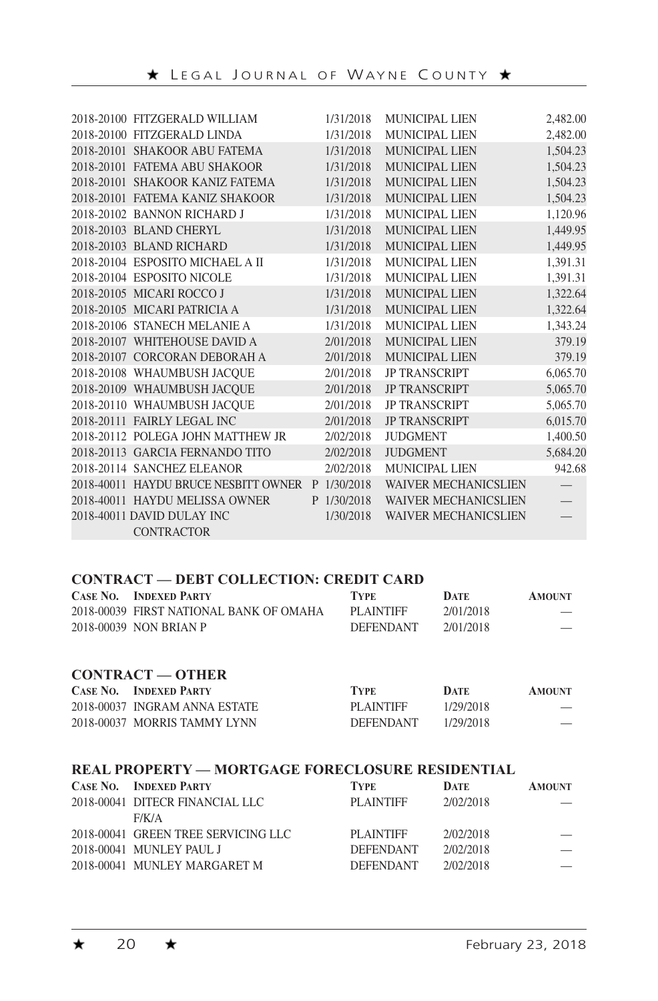| 2018-20100 FITZGERALD WILLIAM        |   | 1/31/2018 | MUNICIPAL LIEN              | 2,482.00 |
|--------------------------------------|---|-----------|-----------------------------|----------|
| 2018-20100 FITZGERALD LINDA          |   | 1/31/2018 | <b>MUNICIPAL LIEN</b>       | 2,482.00 |
| 2018-20101 SHAKOOR ABU FATEMA        |   | 1/31/2018 | <b>MUNICIPAL LIEN</b>       | 1,504.23 |
| 2018-20101 FATEMA ABU SHAKOOR        |   | 1/31/2018 | MUNICIPAL LIEN              | 1,504.23 |
| 2018-20101 SHAKOOR KANIZ FATEMA      |   | 1/31/2018 | MUNICIPAL LIEN              | 1,504.23 |
| 2018-20101 FATEMA KANIZ SHAKOOR      |   | 1/31/2018 | <b>MUNICIPAL LIEN</b>       | 1,504.23 |
| 2018-20102 BANNON RICHARD J          |   | 1/31/2018 | MUNICIPAL LIEN              | 1,120.96 |
| 2018-20103 BLAND CHERYL              |   | 1/31/2018 | <b>MUNICIPAL LIEN</b>       | 1,449.95 |
| 2018-20103 BLAND RICHARD             |   | 1/31/2018 | MUNICIPAL LIEN              | 1,449.95 |
| 2018-20104 ESPOSITO MICHAEL A II     |   | 1/31/2018 | MUNICIPAL LIEN              | 1,391.31 |
| 2018-20104 ESPOSITO NICOLE           |   | 1/31/2018 | MUNICIPAL LIEN              | 1.391.31 |
| 2018-20105 MICARI ROCCO J            |   | 1/31/2018 | <b>MUNICIPAL LIEN</b>       | 1,322.64 |
| 2018-20105 MICARI PATRICIA A         |   | 1/31/2018 | <b>MUNICIPAL LIEN</b>       | 1,322.64 |
| 2018-20106 STANECH MELANIE A         |   | 1/31/2018 | MUNICIPAL LIEN              | 1.343.24 |
| 2018-20107 WHITEHOUSE DAVID A        |   | 2/01/2018 | MUNICIPAL LIEN              | 379.19   |
| 2018-20107 CORCORAN DEBORAH A        |   | 2/01/2018 | <b>MUNICIPAL LIEN</b>       | 379.19   |
| 2018-20108 WHAUMBUSH JACQUE          |   | 2/01/2018 | <b>JP TRANSCRIPT</b>        | 6,065.70 |
| 2018-20109 WHAUMBUSH JACOUE          |   | 2/01/2018 | <b>JP TRANSCRIPT</b>        | 5,065.70 |
| 2018-20110 WHAUMBUSH JACOUE          |   | 2/01/2018 | <b>JP TRANSCRIPT</b>        | 5,065.70 |
| 2018-20111 FAIRLY LEGAL INC          |   | 2/01/2018 | <b>JP TRANSCRIPT</b>        | 6,015.70 |
| 2018-20112 POLEGA JOHN MATTHEW JR    |   | 2/02/2018 | <b>JUDGMENT</b>             | 1,400.50 |
| 2018-20113 GARCIA FERNANDO TITO      |   | 2/02/2018 | <b>JUDGMENT</b>             | 5,684.20 |
| 2018-20114 SANCHEZ ELEANOR           |   | 2/02/2018 | MUNICIPAL LIEN              | 942.68   |
| 2018-40011 HAYDU BRUCE NESBITT OWNER | P | 1/30/2018 | <b>WAIVER MECHANICSLIEN</b> |          |
| 2018-40011 HAYDU MELISSA OWNER       | P | 1/30/2018 | <b>WAIVER MECHANICSLIEN</b> |          |
| 2018-40011 DAVID DULAY INC           |   | 1/30/2018 | <b>WAIVER MECHANICSLIEN</b> |          |
| <b>CONTRACTOR</b>                    |   |           |                             |          |

#### **CONTRACT — DEBT COLLECTION: CREDIT CARD**

| CASE NO. | <b>INDEXED PARTY</b>                    | <b>TYPE</b>      | <b>DATE</b> | <b>AMOUNT</b> |
|----------|-----------------------------------------|------------------|-------------|---------------|
|          | 2018-00039 FIRST NATIONAL BANK OF OMAHA | PLAINTIFF        | 2/01/2018   |               |
|          | 2018-00039 NON BRIAN P                  | <b>DEFENDANT</b> | 2/01/2018   |               |

#### **CONTRACT — OTHER**

| <b>CASE NO. INDEXED PARTY</b> | <b>TYPE</b>      | DATE      | <b>AMOUNT</b> |
|-------------------------------|------------------|-----------|---------------|
| 2018-00037 INGRAM ANNA ESTATE | PLAINTIFF        | 1/29/2018 |               |
| 2018-00037 MORRIS TAMMY LYNN  | <b>DEFENDANT</b> | 1/29/2018 |               |

#### **REAL PROPERTY — MORTGAGE FORECLOSURE RESIDENTIAL**

| <b>CASE NO. INDEXED PARTY</b>       | <b>TYPE</b>      | <b>DATE</b> | <b>AMOUNT</b> |
|-------------------------------------|------------------|-------------|---------------|
| 2018-00041 DITECR FINANCIAL LLC     | PLAINTIFF        | 2/02/2018   |               |
| F/K/A                               |                  |             |               |
| 2018-00041 GREEN TREE SERVICING LLC | PLAINTIFF        | 2/02/2018   |               |
| 2018-00041 MUNLEY PAUL J            | <b>DEFENDANT</b> | 2/02/2018   |               |
| 2018-00041 MUNLEY MARGARET M        | <b>DEFENDANT</b> | 2/02/2018   |               |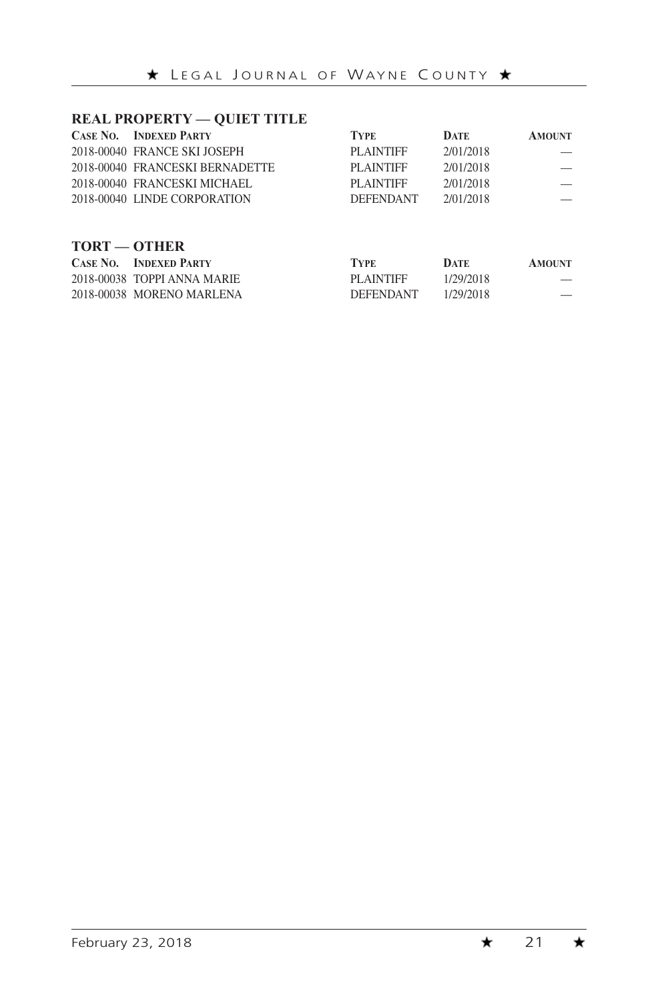#### **REAL PROPERTY — QUIET TITLE**

|                     | <b>CASE NO. INDEXED PARTY</b>   | <b>TYPE</b>      | <b>DATE</b> | <b>AMOUNT</b> |
|---------------------|---------------------------------|------------------|-------------|---------------|
|                     | 2018-00040 FRANCE SKI JOSEPH    | <b>PLAINTIFF</b> | 2/01/2018   |               |
|                     | 2018-00040 FRANCESKI BERNADETTE | <b>PLAINTIFF</b> | 2/01/2018   |               |
|                     | 2018-00040 FRANCESKI MICHAEL    | <b>PLAINTIFF</b> | 2/01/2018   |               |
|                     | 2018-00040 LINDE CORPORATION    | <b>DEFENDANT</b> | 2/01/2018   |               |
|                     |                                 |                  |             |               |
| <b>TORT — OTHER</b> |                                 |                  |             |               |
|                     | <b>CASE NO. INDEXED PARTY</b>   | <b>TYPE</b>      | <b>DATE</b> | <b>AMOUNT</b> |
|                     | 2018-00038 TOPPI ANNA MARIE     | <b>PLAINTIFF</b> | 1/29/2018   |               |

2018-00038 MORENO MARLENA DEFENDANT 1/29/2018 —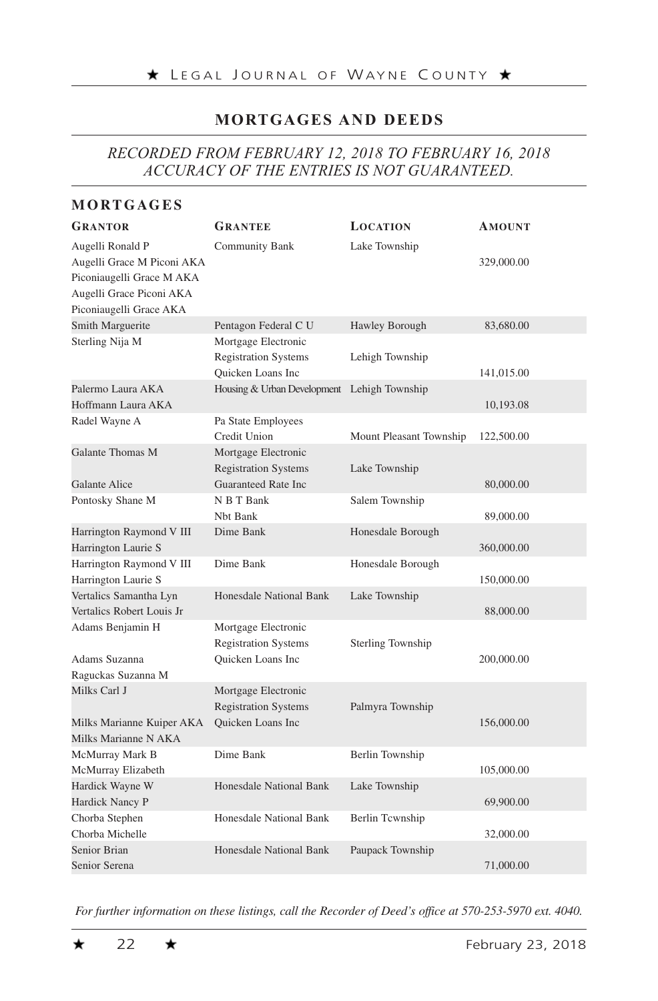# **MORTGAGES AND DEEDS**

# *RECORDED FROM FEBRUARY 12, 2018 TO FEBRUARY 16, 2018 ACCURACY OF THE ENTRIES IS NOT GUARANTEED.*

#### **MORTGAGES**

| <b>GRANTOR</b>                                                                                                                     | <b>GRANTEE</b>                                                          | <b>LOCATION</b>          | <b>AMOUNT</b> |
|------------------------------------------------------------------------------------------------------------------------------------|-------------------------------------------------------------------------|--------------------------|---------------|
| Augelli Ronald P<br>Augelli Grace M Piconi AKA<br>Piconiaugelli Grace M AKA<br>Augelli Grace Piconi AKA<br>Piconiaugelli Grace AKA | Community Bank                                                          | Lake Township            | 329,000.00    |
| Smith Marguerite                                                                                                                   | Pentagon Federal C U                                                    | Hawley Borough           | 83,680.00     |
| Sterling Nija M                                                                                                                    | Mortgage Electronic<br><b>Registration Systems</b><br>Quicken Loans Inc | Lehigh Township          | 141,015.00    |
| Palermo Laura AKA                                                                                                                  | Housing & Urban Development Lehigh Township                             |                          |               |
| Hoffmann Laura AKA                                                                                                                 |                                                                         |                          | 10,193.08     |
| Radel Wayne A                                                                                                                      | Pa State Employees<br>Credit Union                                      | Mount Pleasant Township  | 122,500.00    |
| Galante Thomas M                                                                                                                   | Mortgage Electronic                                                     |                          |               |
|                                                                                                                                    | <b>Registration Systems</b>                                             | Lake Township            |               |
| <b>Galante Alice</b>                                                                                                               | Guaranteed Rate Inc                                                     |                          | 80,000.00     |
| Pontosky Shane M                                                                                                                   | N B T Bank<br>Nbt Bank                                                  | Salem Township           | 89,000.00     |
| Harrington Raymond V III<br>Harrington Laurie S                                                                                    | Dime Bank                                                               | Honesdale Borough        | 360,000.00    |
| Harrington Raymond V III<br>Harrington Laurie S                                                                                    | Dime Bank                                                               | Honesdale Borough        | 150,000.00    |
| Vertalics Samantha Lyn<br>Vertalics Robert Louis Jr                                                                                | Honesdale National Bank                                                 | Lake Township            | 88,000.00     |
| Adams Benjamin H<br>Adams Suzanna                                                                                                  | Mortgage Electronic<br><b>Registration Systems</b><br>Quicken Loans Inc | <b>Sterling Township</b> | 200,000.00    |
| Raguckas Suzanna M                                                                                                                 |                                                                         |                          |               |
| Milks Carl J                                                                                                                       | Mortgage Electronic<br><b>Registration Systems</b>                      | Palmyra Township         |               |
| Milks Marianne Kuiper AKA<br>Milks Marianne N AKA                                                                                  | Quicken Loans Inc                                                       |                          | 156,000.00    |
| McMurray Mark B                                                                                                                    | Dime Bank                                                               | Berlin Township          |               |
| McMurray Elizabeth                                                                                                                 |                                                                         |                          | 105,000.00    |
| Hardick Wayne W<br>Hardick Nancy P                                                                                                 | Honesdale National Bank                                                 | Lake Township            | 69,900.00     |
| Chorba Stephen                                                                                                                     | Honesdale National Bank                                                 | Berlin Tcwnship          |               |
| Chorba Michelle                                                                                                                    |                                                                         |                          | 32,000.00     |
| Senior Brian                                                                                                                       | Honesdale National Bank                                                 | Paupack Township         |               |
| Senior Serena                                                                                                                      |                                                                         |                          | 71,000.00     |

*For further information on these listings, call the Recorder of Deed's office at 570-253-5970 ext. 4040.*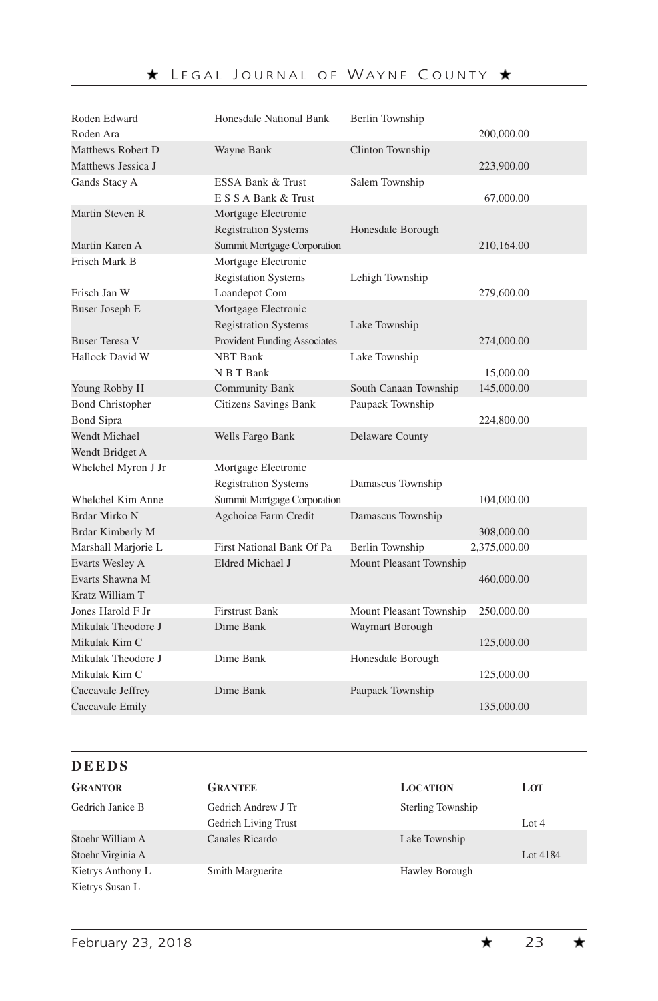| Roden Edward            | Honesdale National Bank      | <b>Berlin Township</b>  |              |
|-------------------------|------------------------------|-------------------------|--------------|
| Rođen Ara               |                              |                         | 200,000.00   |
| Matthews Robert D       | Wayne Bank                   | Clinton Township        |              |
| Matthews Jessica J      |                              |                         | 223,900.00   |
| Gands Stacy A           | ESSA Bank & Trust            | Salem Township          |              |
|                         | E S S A Bank & Trust         |                         | 67,000.00    |
| Martin Steven R         | Mortgage Electronic          |                         |              |
|                         | <b>Registration Systems</b>  | Honesdale Borough       |              |
| Martin Karen A          | Summit Mortgage Corporation  |                         | 210,164.00   |
| Frisch Mark B           | Mortgage Electronic          |                         |              |
|                         | <b>Registation Systems</b>   | Lehigh Township         |              |
| Frisch Jan W            | Loandepot Com                |                         | 279,600.00   |
| Buser Joseph E          | Mortgage Electronic          |                         |              |
|                         | <b>Registration Systems</b>  | Lake Township           |              |
| <b>Buser Teresa V</b>   | Provident Funding Associates |                         | 274,000.00   |
| Hallock David W         | <b>NBT Bank</b>              | Lake Township           |              |
|                         | N B T Bank                   |                         | 15,000.00    |
| Young Robby H           | <b>Community Bank</b>        | South Canaan Township   | 145,000.00   |
| <b>Bond Christopher</b> | <b>Citizens Savings Bank</b> | Paupack Township        |              |
| <b>Bond Sipra</b>       |                              |                         | 224,800.00   |
| Wendt Michael           | Wells Fargo Bank             | Delaware County         |              |
| Wendt Bridget A         |                              |                         |              |
| Whelchel Myron J Jr     | Mortgage Electronic          |                         |              |
|                         | <b>Registration Systems</b>  | Damascus Township       |              |
| Whelchel Kim Anne       | Summit Mortgage Corporation  |                         | 104,000.00   |
| Brdar Mirko N           | Agchoice Farm Credit         | Damascus Township       |              |
| Brdar Kimberly M        |                              |                         | 308,000.00   |
| Marshall Marjorie L     | First National Bank Of Pa    | Berlin Township         | 2,375,000.00 |
| Evarts Wesley A         | Eldred Michael J             | Mount Pleasant Township |              |
| Evarts Shawna M         |                              |                         | 460,000.00   |
| Kratz William T         |                              |                         |              |
| Jones Harold F Jr       | <b>Firstrust Bank</b>        | Mount Pleasant Township | 250,000.00   |
| Mikulak Theodore J      | Dime Bank                    | Waymart Borough         |              |
| Mikulak Kim C           |                              |                         | 125,000.00   |
| Mikulak Theodore J      | Dime Bank                    | Honesdale Borough       |              |
| Mikulak Kim C           |                              |                         | 125,000.00   |
| Caccavale Jeffrey       | Dime Bank                    | Paupack Township        |              |
| Caccavale Emily         |                              |                         | 135,000.00   |
|                         |                              |                         |              |

| <b>DEEDS</b>      |                      |                   |          |  |
|-------------------|----------------------|-------------------|----------|--|
| <b>GRANTOR</b>    | <b>GRANTEE</b>       | <b>LOCATION</b>   | LOT      |  |
| Gedrich Janice B  | Gedrich Andrew J Tr  | Sterling Township |          |  |
|                   | Gedrich Living Trust |                   | Lot $4$  |  |
| Stoehr William A  | Canales Ricardo      | Lake Township     |          |  |
| Stoehr Virginia A |                      |                   | Lot 4184 |  |

Kietrys Anthony L Smith Marguerite Hawley Borough

Kietrys Susan L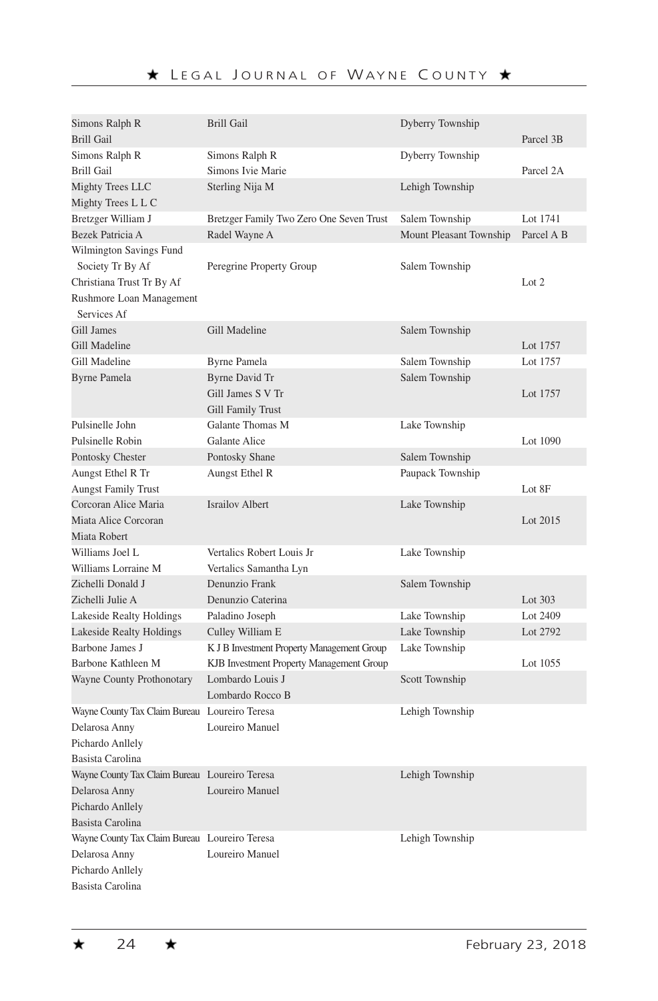| Simons Ralph R                                | <b>Brill Gail</b>                          | Dyberry Township        |            |
|-----------------------------------------------|--------------------------------------------|-------------------------|------------|
| <b>Brill Gail</b>                             |                                            |                         | Parcel 3B  |
| Simons Ralph R                                | Simons Ralph R                             | Dyberry Township        |            |
| <b>Brill Gail</b>                             | Simons Ivie Marie                          |                         | Parcel 2A  |
| Mighty Trees LLC                              | Sterling Nija M                            | Lehigh Township         |            |
| Mighty Trees L L C                            |                                            |                         |            |
| Bretzger William J                            | Bretzger Family Two Zero One Seven Trust   | Salem Township          | Lot 1741   |
| Bezek Patricia A                              | Radel Wayne A                              | Mount Pleasant Township | Parcel A B |
| Wilmington Savings Fund                       |                                            |                         |            |
| Society Tr By Af                              | Peregrine Property Group                   | Salem Township          |            |
| Christiana Trust Tr By Af                     |                                            |                         | Lot 2      |
| Rushmore Loan Management                      |                                            |                         |            |
| Services Af                                   |                                            |                         |            |
| Gill James                                    | Gill Madeline                              | Salem Township          |            |
| Gill Madeline                                 |                                            |                         | Lot 1757   |
| Gill Madeline                                 | <b>Byrne Pamela</b>                        | Salem Township          | Lot 1757   |
| <b>Byrne Pamela</b>                           | Byrne David Tr                             | Salem Township          |            |
|                                               | Gill James S V Tr                          |                         | Lot 1757   |
|                                               | Gill Family Trust                          |                         |            |
| Pulsinelle John                               | Galante Thomas M                           | Lake Township           |            |
| Pulsinelle Robin                              | <b>Galante Alice</b>                       |                         | Lot 1090   |
| Pontosky Chester                              | Pontosky Shane                             | Salem Township          |            |
| Aungst Ethel R Tr                             | Aungst Ethel R                             | Paupack Township        |            |
| <b>Aungst Family Trust</b>                    |                                            |                         | Lot 8F     |
| Corcoran Alice Maria                          | <b>Israilov Albert</b>                     | Lake Township           |            |
| Miata Alice Corcoran                          |                                            |                         | Lot 2015   |
| Miata Robert                                  |                                            |                         |            |
| Williams Joel L                               | Vertalics Robert Louis Jr                  | Lake Township           |            |
| Williams Lorraine M                           | Vertalics Samantha Lyn                     |                         |            |
| Zichelli Donald J                             | Denunzio Frank                             | Salem Township          |            |
| Zichelli Julie A                              | Denunzio Caterina                          |                         | Lot $303$  |
| Lakeside Realty Holdings                      | Paladino Joseph                            | Lake Township           | Lot 2409   |
| Lakeside Realty Holdings                      | Culley William E                           | Lake Township           | Lot 2792   |
| Barbone James J                               | K J B Investment Property Management Group | Lake Township           |            |
| Barbone Kathleen M                            | KJB Investment Property Management Group   |                         | Lot 1055   |
| Wayne County Prothonotary                     | Lombardo Louis J                           | Scott Township          |            |
|                                               | Lombardo Rocco B                           |                         |            |
| Wayne County Tax Claim Bureau Loureiro Teresa |                                            | Lehigh Township         |            |
| Delarosa Anny                                 | Loureiro Manuel                            |                         |            |
| Pichardo Anllely                              |                                            |                         |            |
| Basista Carolina                              |                                            |                         |            |
| Wayne County Tax Claim Bureau Loureiro Teresa |                                            | Lehigh Township         |            |
| Delarosa Anny                                 | Loureiro Manuel                            |                         |            |
| Pichardo Anllely                              |                                            |                         |            |
| Basista Carolina                              |                                            |                         |            |
| Wayne County Tax Claim Bureau Loureiro Teresa |                                            | Lehigh Township         |            |
| Delarosa Anny                                 | Loureiro Manuel                            |                         |            |
| Pichardo Anllely                              |                                            |                         |            |
| Basista Carolina                              |                                            |                         |            |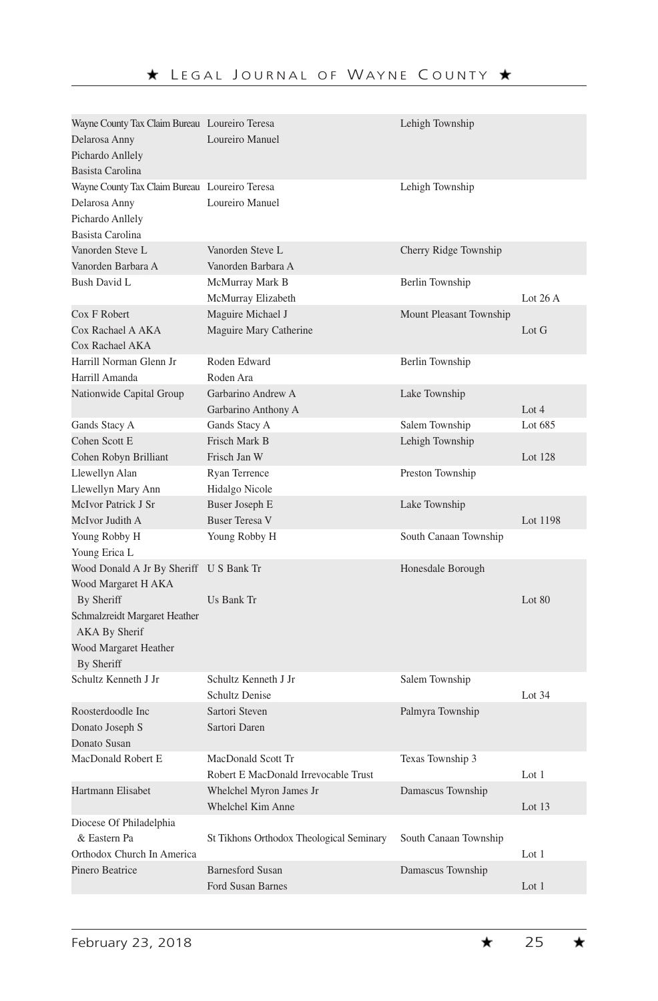| Wayne County Tax Claim Bureau Loureiro Teresa<br>Delarosa Anny<br>Pichardo Anllely                     | Loureiro Manuel                                            | Lehigh Township         |           |
|--------------------------------------------------------------------------------------------------------|------------------------------------------------------------|-------------------------|-----------|
| Basista Carolina                                                                                       |                                                            |                         |           |
| Wayne County Tax Claim Bureau Loureiro Teresa<br>Delarosa Anny<br>Pichardo Anllely<br>Basista Carolina | Loureiro Manuel                                            | Lehigh Township         |           |
| Vanorden Steve L<br>Vanorden Barbara A                                                                 | Vanorden Steve L<br>Vanorden Barbara A                     | Cherry Ridge Township   |           |
| Bush David L                                                                                           | McMurray Mark B<br>McMurray Elizabeth                      | Berlin Township         | Lot $26A$ |
| Cox F Robert<br>Cox Rachael A AKA<br>Cox Rachael AKA                                                   | Maguire Michael J<br>Maguire Mary Catherine                | Mount Pleasant Township | Lot G     |
| Harrill Norman Glenn Jr<br>Harrill Amanda                                                              | Roden Edward<br>Roden Ara                                  | Berlin Township         |           |
| Nationwide Capital Group                                                                               | Garbarino Andrew A<br>Garbarino Anthony A                  | Lake Township           | Lot $4$   |
| Gands Stacy A                                                                                          | Gands Stacy A                                              | Salem Township          | Lot 685   |
| Cohen Scott E<br>Cohen Robyn Brilliant                                                                 | Frisch Mark B<br>Frisch Jan W                              | Lehigh Township         | Lot 128   |
| Llewellyn Alan<br>Llewellyn Mary Ann                                                                   | Ryan Terrence<br>Hidalgo Nicole                            | Preston Township        |           |
| McIvor Patrick J Sr<br>McIvor Judith A                                                                 | <b>Buser Joseph E</b><br><b>Buser Teresa V</b>             | Lake Township           | Lot 1198  |
| Young Robby H<br>Young Erica L                                                                         | Young Robby H                                              | South Canaan Township   |           |
| Wood Donald A Jr By Sheriff<br>Wood Margaret H AKA                                                     | <b>U S Bank Tr</b>                                         | Honesdale Borough       |           |
| By Sheriff                                                                                             | Us Bank Tr                                                 |                         | Lot 80    |
| Schmalzreidt Margaret Heather<br><b>AKA By Sherif</b>                                                  |                                                            |                         |           |
| Wood Margaret Heather<br>By Sheriff                                                                    |                                                            |                         |           |
| Schultz Kenneth J Jr                                                                                   | Schultz Kenneth J Jr<br><b>Schultz Denise</b>              | Salem Township          | Lot 34    |
| Roosterdoodle Inc<br>Donato Joseph S<br>Donato Susan                                                   | Sartori Steven<br>Sartori Daren                            | Palmyra Township        |           |
| MacDonald Robert E                                                                                     | MacDonald Scott Tr<br>Robert E MacDonald Irrevocable Trust | Texas Township 3        | Lot $1$   |
| Hartmann Elisabet                                                                                      | Whelchel Myron James Jr<br>Whelchel Kim Anne               | Damascus Township       | Lot 13    |
| Diocese Of Philadelphia                                                                                |                                                            |                         |           |
| & Eastern Pa                                                                                           | St Tikhons Orthodox Theological Seminary                   | South Canaan Township   |           |
| Orthodox Church In America                                                                             |                                                            |                         | Lot $1$   |
| Pinero Beatrice                                                                                        | <b>Barnesford Susan</b><br><b>Ford Susan Barnes</b>        | Damascus Township       | Lot $1$   |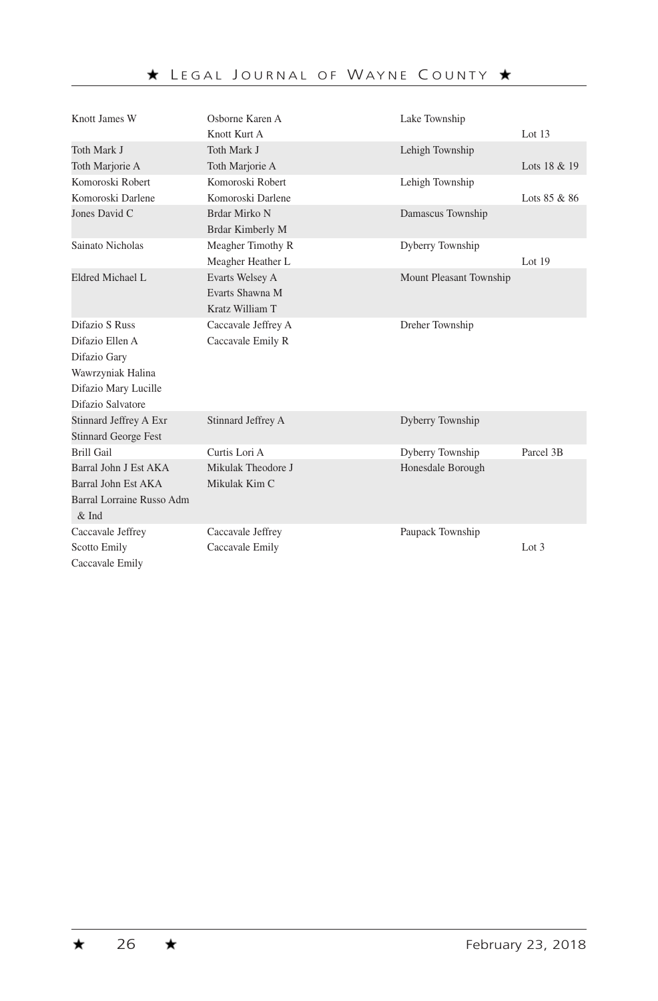| Knott James W               | Osborne Karen A     | Lake Township           |              |
|-----------------------------|---------------------|-------------------------|--------------|
|                             | Knott Kurt A        |                         | Lot $13$     |
| Toth Mark J                 | Toth Mark J         | Lehigh Township         |              |
| Toth Marjorie A             | Toth Marjorie A     |                         | Lots 18 & 19 |
| Komoroski Robert            | Komoroski Robert    | Lehigh Township         |              |
| Komoroski Darlene           | Komoroski Darlene   |                         | Lots 85 & 86 |
| Jones David C               | Brdar Mirko N       | Damascus Township       |              |
|                             | Brdar Kimberly M    |                         |              |
| Sainato Nicholas            | Meagher Timothy R   | Dyberry Township        |              |
|                             | Meagher Heather L   |                         | Lot $19$     |
| Eldred Michael L            | Evarts Welsey A     | Mount Pleasant Township |              |
|                             | Evarts Shawna M     |                         |              |
|                             | Kratz William T     |                         |              |
| Difazio S Russ              | Caccavale Jeffrey A | Dreher Township         |              |
| Difazio Ellen A             | Caccavale Emily R   |                         |              |
| Difazio Gary                |                     |                         |              |
| Wawrzyniak Halina           |                     |                         |              |
| Difazio Mary Lucille        |                     |                         |              |
| Difazio Salvatore           |                     |                         |              |
| Stinnard Jeffrey A Exr      | Stinnard Jeffrey A  | Dyberry Township        |              |
| <b>Stinnard George Fest</b> |                     |                         |              |
| Brill Gail                  | Curtis Lori A       | Dyberry Township        | Parcel 3B    |
| Barral John J Est AKA       | Mikulak Theodore J  | Honesdale Borough       |              |
| Barral John Est AKA         | Mikulak Kim C       |                         |              |
| Barral Lorraine Russo Adm   |                     |                         |              |
| $&$ Ind                     |                     |                         |              |
| Caccavale Jeffrey           | Caccavale Jeffrey   | Paupack Township        |              |
| <b>Scotto Emily</b>         | Caccavale Emily     |                         | Lot $3$      |
| Caccavale Emily             |                     |                         |              |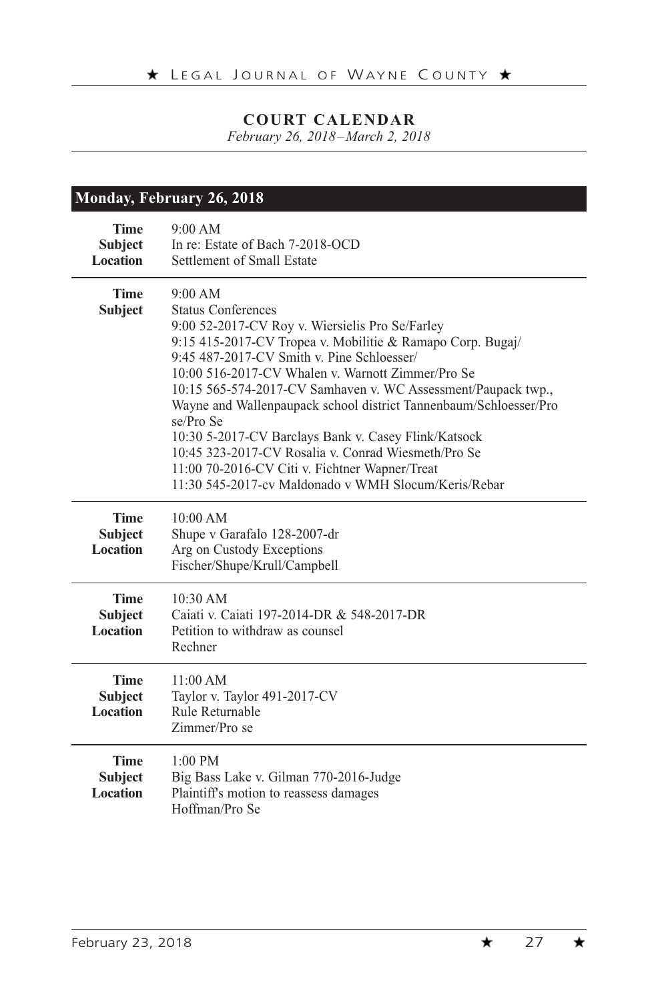*February 26, 2018–March 2, 2018*

|                                                  | Monday, February 26, 2018                                                                                                                                                                                                                                                                                                                                                                                                                                                                                                                                                                                                            |  |  |
|--------------------------------------------------|--------------------------------------------------------------------------------------------------------------------------------------------------------------------------------------------------------------------------------------------------------------------------------------------------------------------------------------------------------------------------------------------------------------------------------------------------------------------------------------------------------------------------------------------------------------------------------------------------------------------------------------|--|--|
| <b>Time</b><br><b>Subject</b><br><b>Location</b> | 9:00 AM<br>In re: Estate of Bach 7-2018-OCD<br>Settlement of Small Estate                                                                                                                                                                                                                                                                                                                                                                                                                                                                                                                                                            |  |  |
| <b>Time</b><br><b>Subject</b>                    | 9:00 AM<br><b>Status Conferences</b><br>9:00 52-2017-CV Roy v. Wiersielis Pro Se/Farley<br>9:15 415-2017-CV Tropea v. Mobilitie & Ramapo Corp. Bugaj/<br>9:45 487-2017-CV Smith v. Pine Schloesser/<br>10:00 516-2017-CV Whalen v. Warnott Zimmer/Pro Se<br>10:15 565-574-2017-CV Samhaven v. WC Assessment/Paupack twp.,<br>Wayne and Wallenpaupack school district Tannenbaum/Schloesser/Pro<br>se/Pro Se<br>10:30 5-2017-CV Barclays Bank v. Casey Flink/Katsock<br>10:45 323-2017-CV Rosalia v. Conrad Wiesmeth/Pro Se<br>11:00 70-2016-CV Citi v. Fichtner Wapner/Treat<br>11:30 545-2017-cv Maldonado v WMH Slocum/Keris/Rebar |  |  |
| <b>Time</b><br><b>Subject</b><br><b>Location</b> | 10:00 AM<br>Shupe v Garafalo 128-2007-dr<br>Arg on Custody Exceptions<br>Fischer/Shupe/Krull/Campbell                                                                                                                                                                                                                                                                                                                                                                                                                                                                                                                                |  |  |
| <b>Time</b><br><b>Subject</b><br><b>Location</b> | 10:30 AM<br>Caiati v. Caiati 197-2014-DR & 548-2017-DR<br>Petition to withdraw as counsel<br>Rechner                                                                                                                                                                                                                                                                                                                                                                                                                                                                                                                                 |  |  |
| <b>Time</b><br><b>Subject</b><br><b>Location</b> | 11:00 AM<br>Taylor v. Taylor 491-2017-CV<br>Rule Returnable<br>Zimmer/Pro se                                                                                                                                                                                                                                                                                                                                                                                                                                                                                                                                                         |  |  |
| <b>Time</b><br><b>Subject</b><br><b>Location</b> | $1:00 \text{ PM}$<br>Big Bass Lake v. Gilman 770-2016-Judge<br>Plaintiff's motion to reassess damages<br>Hoffman/Pro Se                                                                                                                                                                                                                                                                                                                                                                                                                                                                                                              |  |  |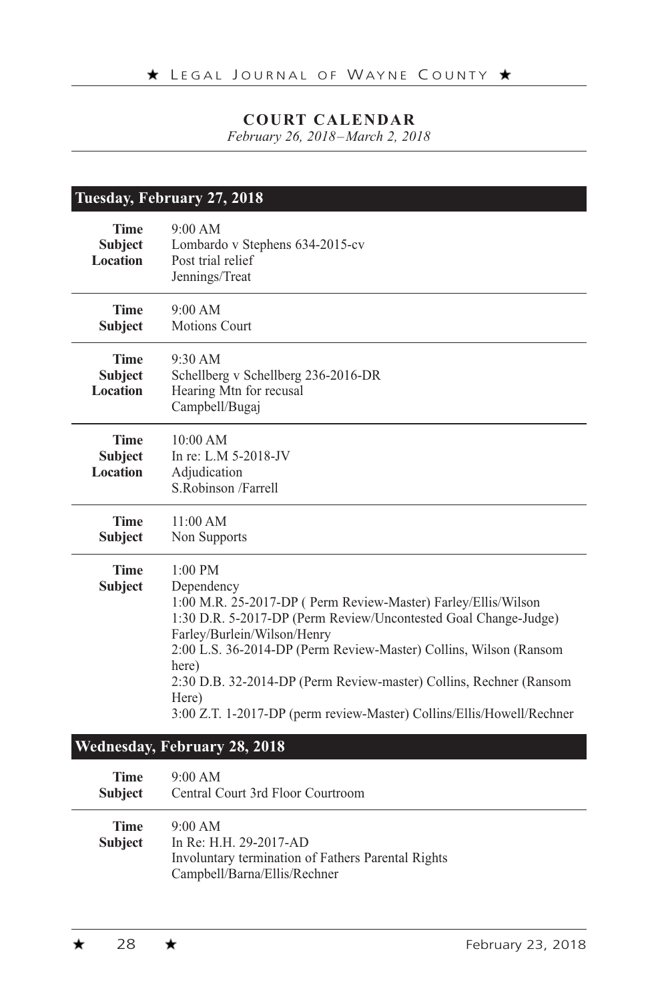*February 26, 2018–March 2, 2018*

|                                                  | Tuesday, February 27, 2018                                                                                                                                                                                                                                                                                                                                                                                                       |
|--------------------------------------------------|----------------------------------------------------------------------------------------------------------------------------------------------------------------------------------------------------------------------------------------------------------------------------------------------------------------------------------------------------------------------------------------------------------------------------------|
| <b>Time</b><br><b>Subject</b><br><b>Location</b> | 9:00 AM<br>Lombardo v Stephens 634-2015-cv<br>Post trial relief<br>Jennings/Treat                                                                                                                                                                                                                                                                                                                                                |
| <b>Time</b><br><b>Subject</b>                    | 9:00 AM<br><b>Motions Court</b>                                                                                                                                                                                                                                                                                                                                                                                                  |
| <b>Time</b><br><b>Subject</b><br>Location        | $9:30$ AM<br>Schellberg v Schellberg 236-2016-DR<br>Hearing Mtn for recusal<br>Campbell/Bugaj                                                                                                                                                                                                                                                                                                                                    |
| <b>Time</b><br><b>Subject</b><br><b>Location</b> | 10:00 AM<br>In re: L.M 5-2018-JV<br>Adjudication<br>S.Robinson /Farrell                                                                                                                                                                                                                                                                                                                                                          |
| <b>Time</b><br><b>Subject</b>                    | 11:00 AM<br>Non Supports                                                                                                                                                                                                                                                                                                                                                                                                         |
| <b>Time</b><br><b>Subject</b>                    | $1:00$ PM<br>Dependency<br>1:00 M.R. 25-2017-DP (Perm Review-Master) Farley/Ellis/Wilson<br>1:30 D.R. 5-2017-DP (Perm Review/Uncontested Goal Change-Judge)<br>Farley/Burlein/Wilson/Henry<br>2:00 L.S. 36-2014-DP (Perm Review-Master) Collins, Wilson (Ransom<br>here)<br>2:30 D.B. 32-2014-DP (Perm Review-master) Collins, Rechner (Ransom<br>Here)<br>3:00 Z.T. 1-2017-DP (perm review-Master) Collins/Ellis/Howell/Rechner |
|                                                  | Wednesday, February 28, 2018                                                                                                                                                                                                                                                                                                                                                                                                     |
| <b>Time</b><br><b>Subject</b>                    | 9:00 AM<br>Central Court 3rd Floor Courtroom                                                                                                                                                                                                                                                                                                                                                                                     |
| <b>Time</b><br><b>Subject</b>                    | 9:00 AM<br>In Re: H.H. 29-2017-AD<br>Involuntary termination of Fathers Parental Rights<br>Campbell/Barna/Ellis/Rechner                                                                                                                                                                                                                                                                                                          |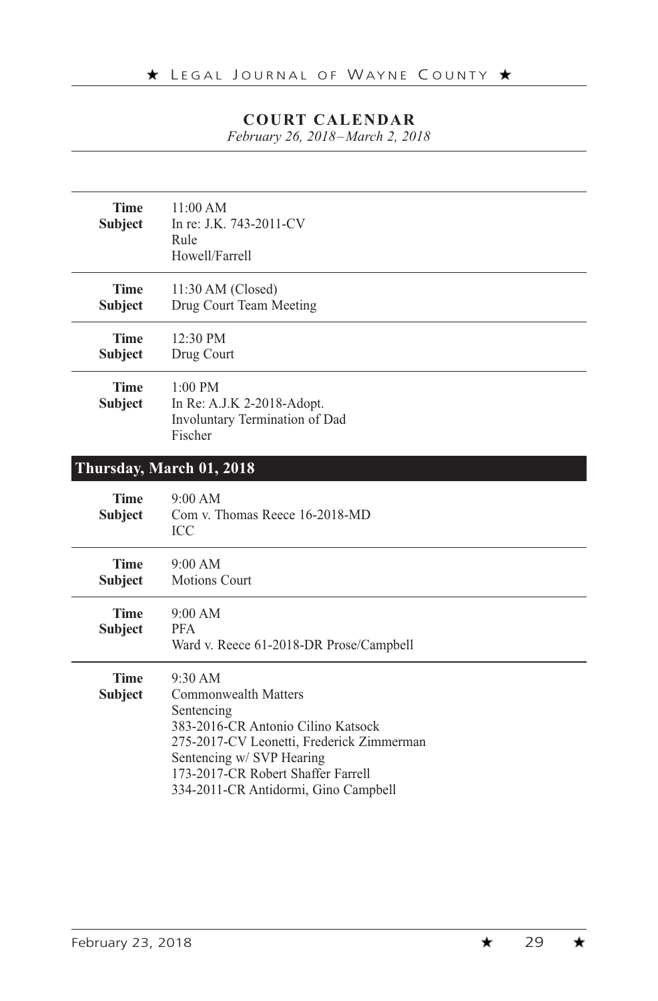*February 26, 2018–March 2, 2018*

| <b>Time</b><br><b>Subject</b> | 11:00 AM<br>In re: J.K. 743-2011-CV<br>Rule<br>Howell/Farrell                                                                                                                                                                                      |
|-------------------------------|----------------------------------------------------------------------------------------------------------------------------------------------------------------------------------------------------------------------------------------------------|
| <b>Time</b><br>Subject        | $11:30$ AM (Closed)<br>Drug Court Team Meeting                                                                                                                                                                                                     |
| <b>Time</b><br>Subject        | 12:30 PM<br>Drug Court                                                                                                                                                                                                                             |
| <b>Time</b><br><b>Subject</b> | $1:00 \text{ PM}$<br>In Re: A.J.K 2-2018-Adopt.<br>Involuntary Termination of Dad<br>Fischer                                                                                                                                                       |
|                               | Thursday, March 01, 2018                                                                                                                                                                                                                           |
| <b>Time</b><br>Subject        | 9:00 AM<br>Com v. Thomas Reece 16-2018-MD<br><b>ICC</b>                                                                                                                                                                                            |
| <b>Time</b><br><b>Subject</b> | 9:00 AM<br><b>Motions Court</b>                                                                                                                                                                                                                    |
| <b>Time</b><br>Subject        | 9:00 AM<br><b>PFA</b><br>Ward v. Reece 61-2018-DR Prose/Campbell                                                                                                                                                                                   |
| <b>Time</b><br><b>Subject</b> | 9:30 AM<br><b>Commonwealth Matters</b><br>Sentencing<br>383-2016-CR Antonio Cilino Katsock<br>275-2017-CV Leonetti, Frederick Zimmerman<br>Sentencing w/ SVP Hearing<br>173-2017-CR Robert Shaffer Farrell<br>334-2011-CR Antidormi, Gino Campbell |

 $\star$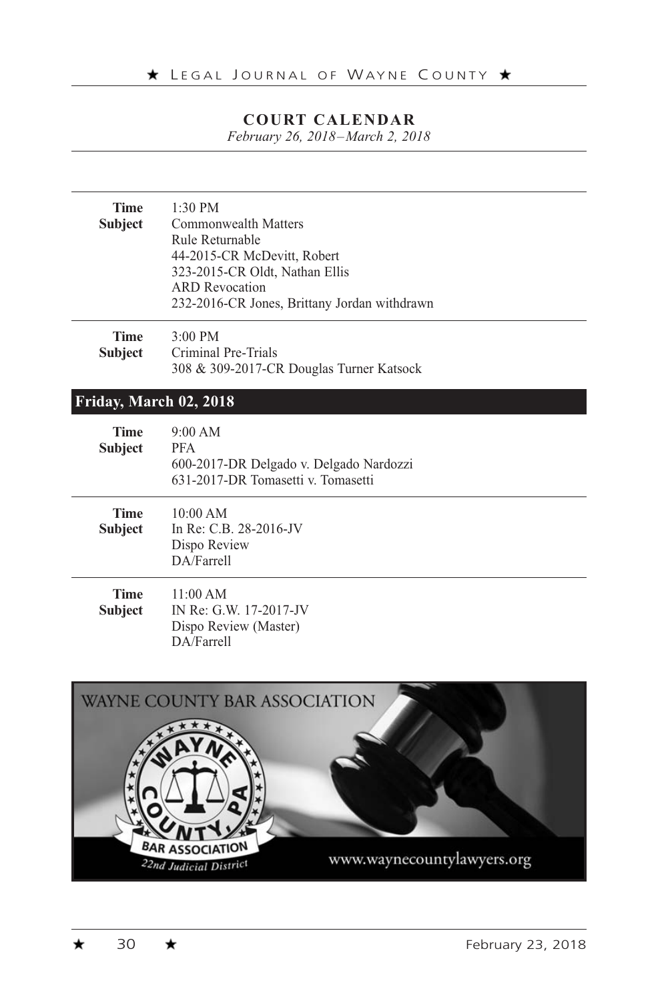*February 26, 2018–March 2, 2018*

| <b>Time</b><br><b>Subject</b> | $1:30 \text{ PM}$<br>Commonwealth Matters<br>Rule Returnable<br>44-2015-CR McDevitt, Robert<br>323-2015-CR Oldt, Nathan Ellis<br><b>ARD</b> Revocation<br>232-2016-CR Jones, Brittany Jordan withdrawn |
|-------------------------------|--------------------------------------------------------------------------------------------------------------------------------------------------------------------------------------------------------|
| <b>Time</b><br><b>Subject</b> | $3:00 \text{ PM}$<br>Criminal Pre-Trials<br>308 & 309-2017-CR Douglas Turner Katsock                                                                                                                   |
| Friday, March 02, 2018        |                                                                                                                                                                                                        |
| <b>Time</b><br><b>Subject</b> | 9:00 AM<br><b>PFA</b><br>600-2017-DR Delgado v. Delgado Nardozzi<br>631-2017-DR Tomasetti v. Tomasetti                                                                                                 |
| <b>Time</b><br><b>Subject</b> | $10:00$ AM<br>In Re: C.B. 28-2016-JV<br>Dispo Review<br>DA/Farrell                                                                                                                                     |
| <b>Time</b><br><b>Subject</b> | 11:00 AM<br>IN Re: G.W. 17-2017-JV<br>Dispo Review (Master)<br>DA/Farrell                                                                                                                              |

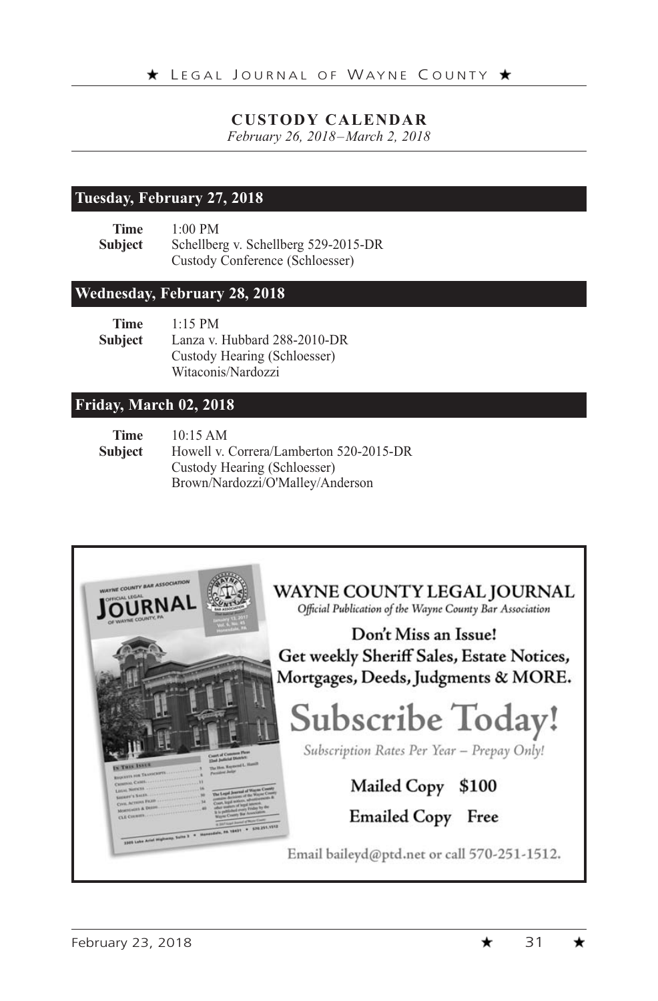#### **CUSTODY CALENDAR**

*February 26, 2018–March 2, 2018*

#### **Tuesday, February 27, 2018**

**Time** 1:00 PM **Subject** Schellberg v. Schellberg 529-2015-DR Custody Conference (Schloesser)

#### **Wednesday, February 28, 2018**

| Time    | $1:15$ PM                    |
|---------|------------------------------|
| Subject | Lanza v. Hubbard 288-2010-DR |
|         | Custody Hearing (Schloesser) |
|         | Witaconis/Nardozzi           |

#### **Friday, March 02, 2018**

| Time           | 10:15 AM                                |
|----------------|-----------------------------------------|
| <b>Subject</b> | Howell v. Correra/Lamberton 520-2015-DR |
|                | Custody Hearing (Schloesser)            |
|                | Brown/Nardozzi/O'Malley/Anderson        |

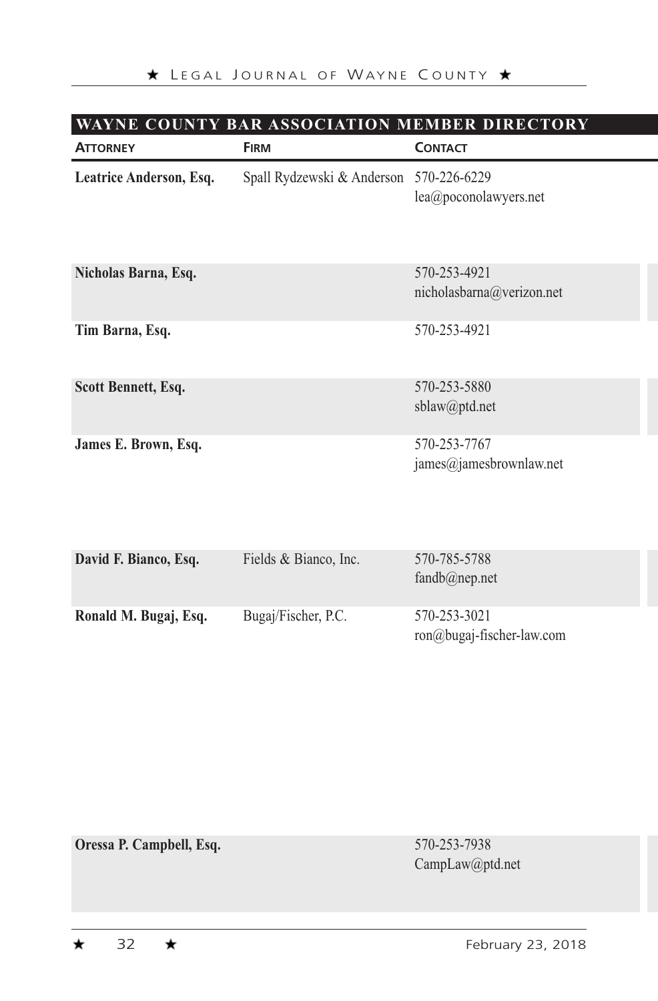# **WAYNE COUNTY BAR ASSOCIATION MEMBER DIRECTORY**

| <b>ATTORNEY</b>         | <b>FIRM</b>                | <b>CONTACT</b>                             |
|-------------------------|----------------------------|--------------------------------------------|
| Leatrice Anderson, Esq. | Spall Rydzewski & Anderson | 570-226-6229<br>lea@poconolawyers.net      |
| Nicholas Barna, Esq.    |                            | 570-253-4921<br>nicholasbarna@verizon.net  |
| Tim Barna, Esq.         |                            | 570-253-4921                               |
| Scott Bennett, Esq.     |                            | 570-253-5880<br>sblaw@ptd.net              |
| James E. Brown, Esq.    |                            | 570-253-7767<br>james@jamesbrownlaw.net    |
| David F. Bianco, Esq.   | Fields & Bianco, Inc.      | 570-785-5788<br>$f$ andh $\hat{a}$ nen net |

| Ronald M. Bugaj, Esq. | Bugaj/Fischer, P.C. | 570-253-3021<br>ron@bugaj-fischer-law.com |
|-----------------------|---------------------|-------------------------------------------|

**Oressa P. Campbell, Esq.** 570-253-7938

CampLaw@ptd.net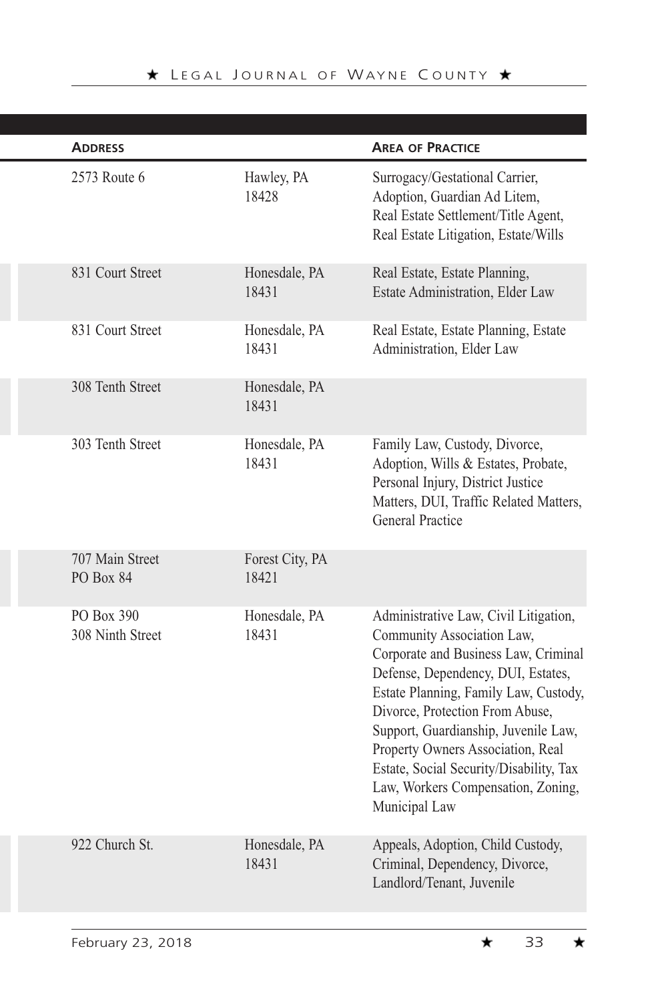| <b>ADDRESS</b>                 |                          | <b>AREA OF PRACTICE</b>                                                                                                                                                                                                                                                                                                                                                                                      |
|--------------------------------|--------------------------|--------------------------------------------------------------------------------------------------------------------------------------------------------------------------------------------------------------------------------------------------------------------------------------------------------------------------------------------------------------------------------------------------------------|
| 2573 Route 6                   | Hawley, PA<br>18428      | Surrogacy/Gestational Carrier,<br>Adoption, Guardian Ad Litem,<br>Real Estate Settlement/Title Agent,<br>Real Estate Litigation, Estate/Wills                                                                                                                                                                                                                                                                |
| 831 Court Street               | Honesdale, PA<br>18431   | Real Estate, Estate Planning,<br>Estate Administration, Elder Law                                                                                                                                                                                                                                                                                                                                            |
| 831 Court Street               | Honesdale, PA<br>18431   | Real Estate, Estate Planning, Estate<br>Administration, Elder Law                                                                                                                                                                                                                                                                                                                                            |
| 308 Tenth Street               | Honesdale, PA<br>18431   |                                                                                                                                                                                                                                                                                                                                                                                                              |
| 303 Tenth Street               | Honesdale, PA<br>18431   | Family Law, Custody, Divorce,<br>Adoption, Wills & Estates, Probate,<br>Personal Injury, District Justice<br>Matters, DUI, Traffic Related Matters,<br>General Practice                                                                                                                                                                                                                                      |
| 707 Main Street<br>PO Box 84   | Forest City, PA<br>18421 |                                                                                                                                                                                                                                                                                                                                                                                                              |
| PO Box 390<br>308 Ninth Street | Honesdale, PA<br>18431   | Administrative Law, Civil Litigation,<br>Community Association Law,<br>Corporate and Business Law, Criminal<br>Defense, Dependency, DUI, Estates,<br>Estate Planning, Family Law, Custody,<br>Divorce, Protection From Abuse,<br>Support, Guardianship, Juvenile Law,<br>Property Owners Association, Real<br>Estate, Social Security/Disability, Tax<br>Law, Workers Compensation, Zoning,<br>Municipal Law |
| 922 Church St.                 | Honesdale, PA<br>18431   | Appeals, Adoption, Child Custody,<br>Criminal, Dependency, Divorce,<br>Landlord/Tenant, Juvenile                                                                                                                                                                                                                                                                                                             |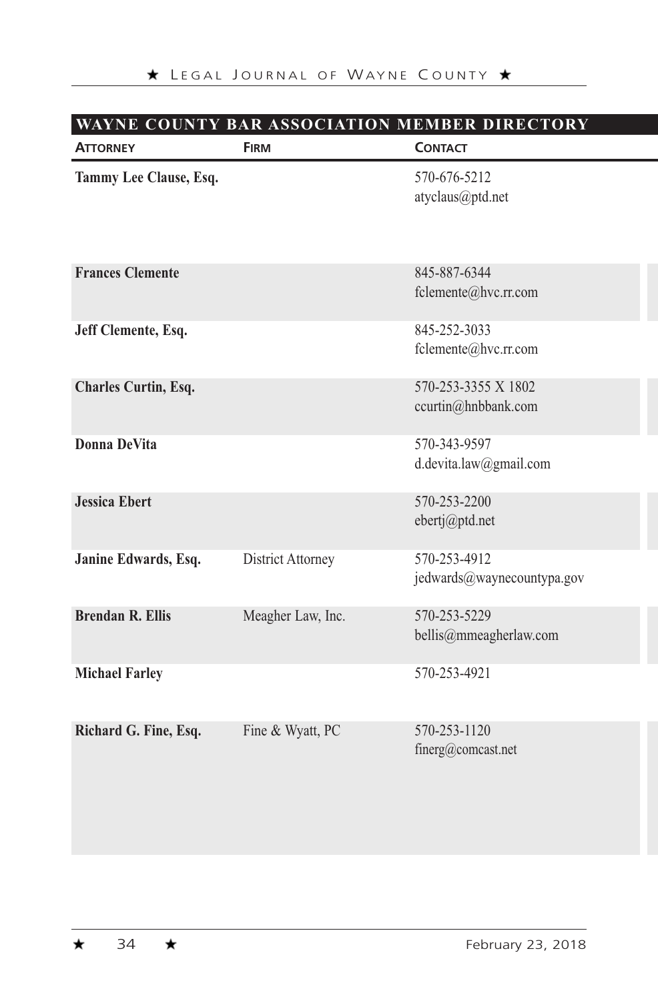| <b>ATTORNEY</b>         | <b>FIRM</b>              | <b>CONTACT</b>                             |  |
|-------------------------|--------------------------|--------------------------------------------|--|
| Tammy Lee Clause, Esq.  |                          | 570-676-5212<br>atyclaus@ptd.net           |  |
| <b>Frances Clemente</b> |                          | 845-887-6344<br>fclemente@hvc.rr.com       |  |
| Jeff Clemente, Esq.     |                          | 845-252-3033<br>fclemente@hvc.rr.com       |  |
| Charles Curtin, Esq.    |                          | 570-253-3355 X 1802<br>ccurtin@hnbbank.com |  |
| Donna DeVita            |                          | 570-343-9597<br>d.devita.law@gmail.com     |  |
| <b>Jessica Ebert</b>    |                          | 570-253-2200<br>ebertj@ptd.net             |  |
| Janine Edwards, Esq.    | <b>District Attorney</b> | 570-253-4912<br>jedwards@waynecountypa.gov |  |
| <b>Brendan R. Ellis</b> | Meagher Law, Inc.        | 570-253-5229<br>bellis@mmeagherlaw.com     |  |
| <b>Michael Farley</b>   |                          | 570-253-4921                               |  |
| Richard G. Fine, Esq.   | Fine & Wyatt, PC         | 570-253-1120<br>finerg@comcast.net         |  |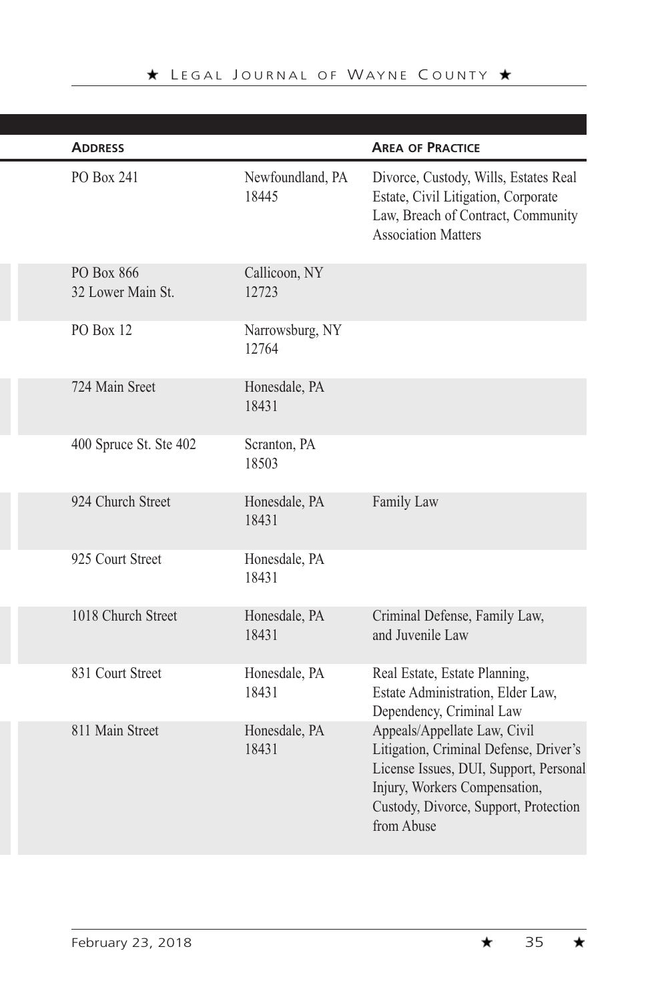| <b>ADDRESS</b>                  |                           | <b>AREA OF PRACTICE</b>                                                                                                                                                                                  |
|---------------------------------|---------------------------|----------------------------------------------------------------------------------------------------------------------------------------------------------------------------------------------------------|
| PO Box 241                      | Newfoundland, PA<br>18445 | Divorce, Custody, Wills, Estates Real<br>Estate, Civil Litigation, Corporate<br>Law, Breach of Contract, Community<br><b>Association Matters</b>                                                         |
| PO Box 866<br>32 Lower Main St. | Callicoon, NY<br>12723    |                                                                                                                                                                                                          |
| <b>PO Box 12</b>                | Narrowsburg, NY<br>12764  |                                                                                                                                                                                                          |
| 724 Main Sreet                  | Honesdale, PA<br>18431    |                                                                                                                                                                                                          |
| 400 Spruce St. Ste 402          | Scranton, PA<br>18503     |                                                                                                                                                                                                          |
| 924 Church Street               | Honesdale, PA<br>18431    | Family Law                                                                                                                                                                                               |
| 925 Court Street                | Honesdale, PA<br>18431    |                                                                                                                                                                                                          |
| 1018 Church Street              | Honesdale, PA<br>18431    | Criminal Defense, Family Law,<br>and Juvenile Law                                                                                                                                                        |
| 831 Court Street                | Honesdale, PA<br>18431    | Real Estate, Estate Planning,<br>Estate Administration, Elder Law,<br>Dependency, Criminal Law                                                                                                           |
| 811 Main Street                 | Honesdale, PA<br>18431    | Appeals/Appellate Law, Civil<br>Litigation, Criminal Defense, Driver's<br>License Issues, DUI, Support, Personal<br>Injury, Workers Compensation,<br>Custody, Divorce, Support, Protection<br>from Abuse |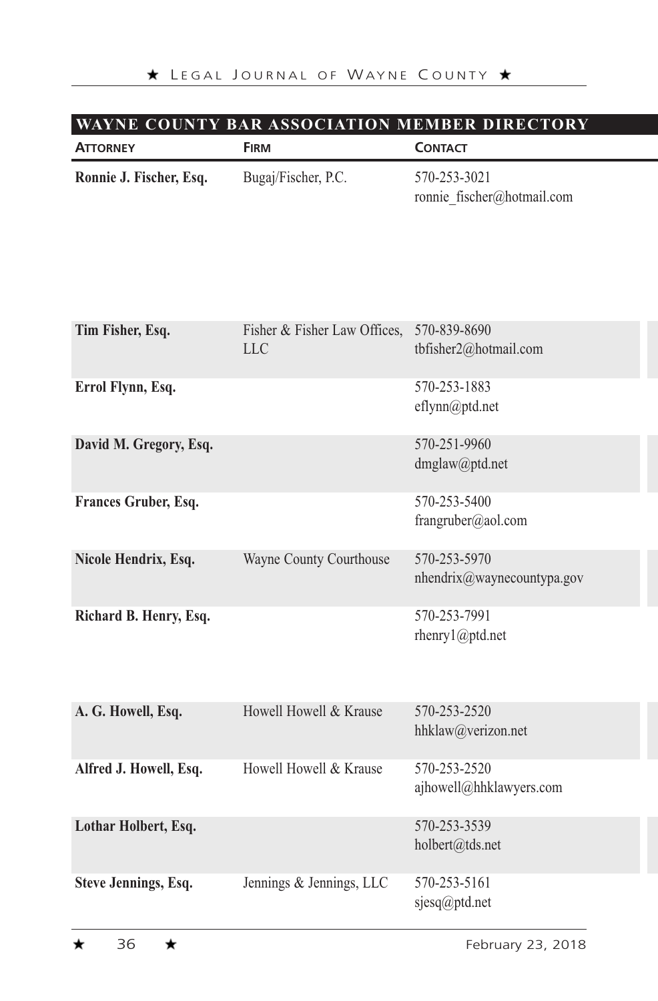#### **WAYNE COUNTY BAR ASSOCIATION MEMBER DIRECTORY**

| <b>ATTORNEY</b>         | <b>FIRM</b>                                      | <b>CONTACT</b>                             |
|-------------------------|--------------------------------------------------|--------------------------------------------|
| Ronnie J. Fischer, Esq. | Bugaj/Fischer, P.C.                              | 570-253-3021<br>ronnie_fischer@hotmail.com |
| Tim Fisher, Esq.        | Fisher & Fisher Law Offices, 570-839-8690<br>LLC | tbfisher2@hotmail.com                      |
| Errol Flynn, Esq.       |                                                  | 570-253-1883<br>eflynn@ptd.net             |
| David M. Gregory, Esq.  |                                                  | 570-251-9960<br>dmglaw@ptd.net             |
| Frances Gruber, Esq.    |                                                  | 570-253-5400<br>frangruber@aol.com         |
| Nicole Hendrix, Esq.    | Wayne County Courthouse                          | 570-253-5970<br>nhendrix@waynecountypa.gov |
| Richard B. Henry, Esq.  |                                                  | 570-253-7991<br>rhenry1@ptd.net            |
| A. G. Howell, Esq.      | Howell Howell & Krause                           | 570-253-2520<br>hhklaw@verizon.net         |
| Alfred J. Howell, Esq.  | Howell Howell & Krause                           | 570-253-2520<br>ajhowell@hhklawyers.com    |
| Lothar Holbert, Esq.    |                                                  | 570-253-3539<br>holbert@tds.net            |
| Steve Jennings, Esq.    | Jennings & Jennings, LLC                         | 570-253-5161<br>sjesq@ptd.net              |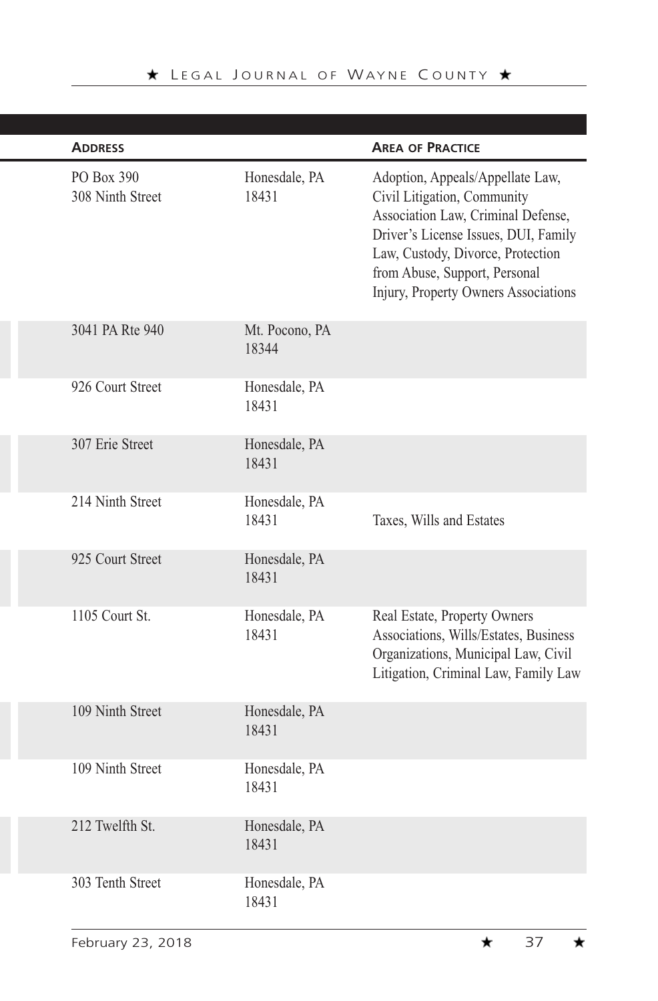| <b>ADDRESS</b>                 |                         | <b>AREA OF PRACTICE</b>                                                                                                                                                                                                                                     |
|--------------------------------|-------------------------|-------------------------------------------------------------------------------------------------------------------------------------------------------------------------------------------------------------------------------------------------------------|
| PO Box 390<br>308 Ninth Street | Honesdale, PA<br>18431  | Adoption, Appeals/Appellate Law,<br>Civil Litigation, Community<br>Association Law, Criminal Defense,<br>Driver's License Issues, DUI, Family<br>Law, Custody, Divorce, Protection<br>from Abuse, Support, Personal<br>Injury, Property Owners Associations |
| 3041 PA Rte 940                | Mt. Pocono, PA<br>18344 |                                                                                                                                                                                                                                                             |
| 926 Court Street               | Honesdale, PA<br>18431  |                                                                                                                                                                                                                                                             |
| 307 Erie Street                | Honesdale, PA<br>18431  |                                                                                                                                                                                                                                                             |
| 214 Ninth Street               | Honesdale, PA<br>18431  | Taxes, Wills and Estates                                                                                                                                                                                                                                    |
| 925 Court Street               | Honesdale, PA<br>18431  |                                                                                                                                                                                                                                                             |
| 1105 Court St.                 | Honesdale, PA<br>18431  | Real Estate, Property Owners<br>Associations, Wills/Estates, Business<br>Organizations, Municipal Law, Civil<br>Litigation, Criminal Law, Family Law                                                                                                        |
| 109 Ninth Street               | Honesdale, PA<br>18431  |                                                                                                                                                                                                                                                             |
| 109 Ninth Street               | Honesdale, PA<br>18431  |                                                                                                                                                                                                                                                             |
| 212 Twelfth St.                | Honesdale, PA<br>18431  |                                                                                                                                                                                                                                                             |
| 303 Tenth Street               | Honesdale, PA<br>18431  |                                                                                                                                                                                                                                                             |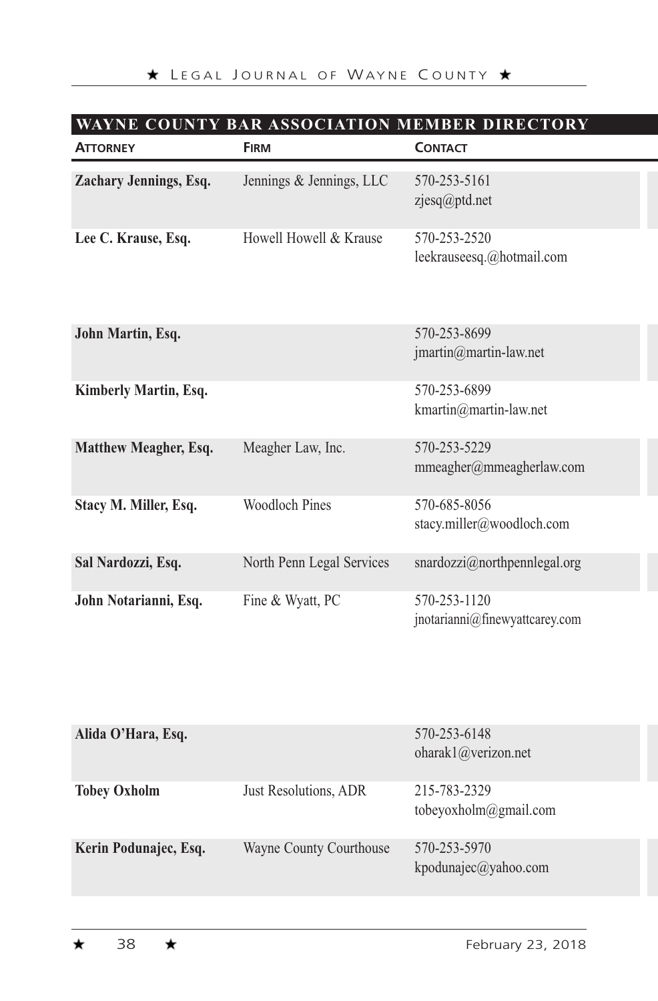| WAYNE COUNTY BAR ASSOCIATION MEMBER DIRECTORY |                           |                                                |  |
|-----------------------------------------------|---------------------------|------------------------------------------------|--|
| <b>ATTORNEY</b>                               | <b>FIRM</b>               | <b>CONTACT</b>                                 |  |
| Zachary Jennings, Esq.                        | Jennings & Jennings, LLC  | 570-253-5161<br>zjesq@ptd.net                  |  |
| Lee C. Krause, Esq.<br>Howell Howell & Krause |                           | 570-253-2520<br>leekrauseesq.@hotmail.com      |  |
| John Martin, Esq.                             |                           | 570-253-8699<br>jmartin@martin-law.net         |  |
| Kimberly Martin, Esq.                         |                           | 570-253-6899<br>kmartin@martin-law.net         |  |
| Matthew Meagher, Esq.                         | Meagher Law, Inc.         | 570-253-5229<br>mmeagher@mmeagherlaw.com       |  |
| Stacy M. Miller, Esq.                         | Woodloch Pines            | 570-685-8056<br>stacy.miller@woodloch.com      |  |
| Sal Nardozzi, Esq.                            | North Penn Legal Services | snardozzi@northpennlegal.org                   |  |
| John Notarianni, Esq.                         | Fine & Wyatt, PC          | 570-253-1120<br>jnotarianni@finewyattcarey.com |  |

| Alida O'Hara, Esq.    |                         | 570-253-6148<br>oharak1@verizon.net   |
|-----------------------|-------------------------|---------------------------------------|
| <b>Tobey Oxholm</b>   | Just Resolutions, ADR   | 215-783-2329<br>tobeyoxholm@gmail.com |
| Kerin Podunajec, Esq. | Wayne County Courthouse | 570-253-5970<br>kpodunajec@yahoo.com  |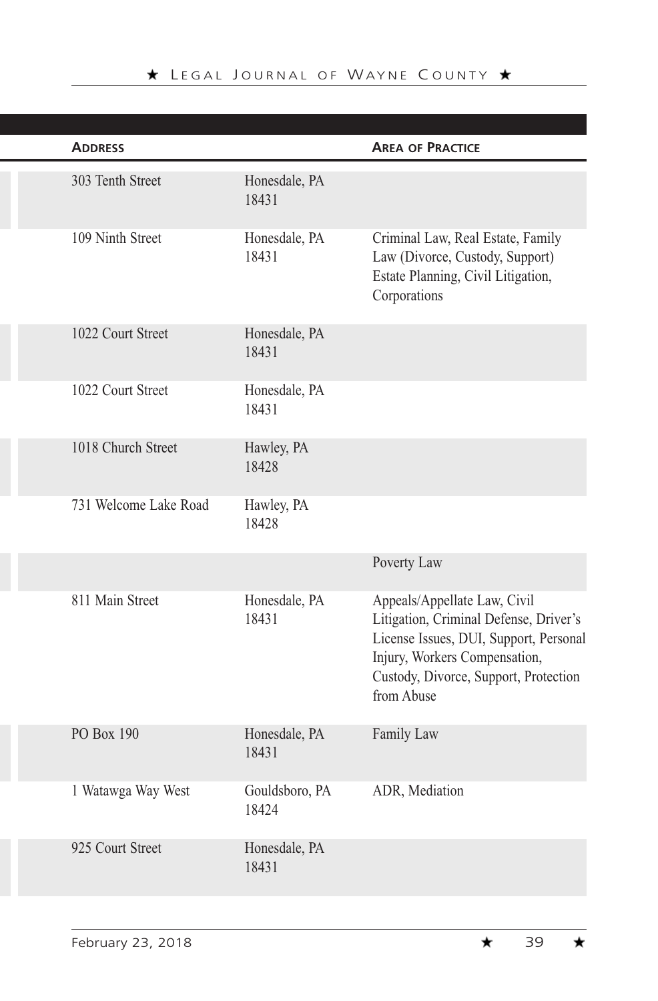| <b>ADDRESS</b>        |                         | <b>AREA OF PRACTICE</b>                                                                                                                                                                                  |
|-----------------------|-------------------------|----------------------------------------------------------------------------------------------------------------------------------------------------------------------------------------------------------|
| 303 Tenth Street      | Honesdale, PA<br>18431  |                                                                                                                                                                                                          |
| 109 Ninth Street      | Honesdale, PA<br>18431  | Criminal Law, Real Estate, Family<br>Law (Divorce, Custody, Support)<br>Estate Planning, Civil Litigation,<br>Corporations                                                                               |
| 1022 Court Street     | Honesdale, PA<br>18431  |                                                                                                                                                                                                          |
| 1022 Court Street     | Honesdale, PA<br>18431  |                                                                                                                                                                                                          |
| 1018 Church Street    | Hawley, PA<br>18428     |                                                                                                                                                                                                          |
| 731 Welcome Lake Road | Hawley, PA<br>18428     |                                                                                                                                                                                                          |
|                       |                         | Poverty Law                                                                                                                                                                                              |
| 811 Main Street       | Honesdale, PA<br>18431  | Appeals/Appellate Law, Civil<br>Litigation, Criminal Defense, Driver's<br>License Issues, DUI, Support, Personal<br>Injury, Workers Compensation,<br>Custody, Divorce, Support, Protection<br>from Abuse |
| PO Box 190            | Honesdale, PA<br>18431  | Family Law                                                                                                                                                                                               |
| 1 Watawga Way West    | Gouldsboro, PA<br>18424 | ADR, Mediation                                                                                                                                                                                           |
| 925 Court Street      | Honesdale, PA<br>18431  |                                                                                                                                                                                                          |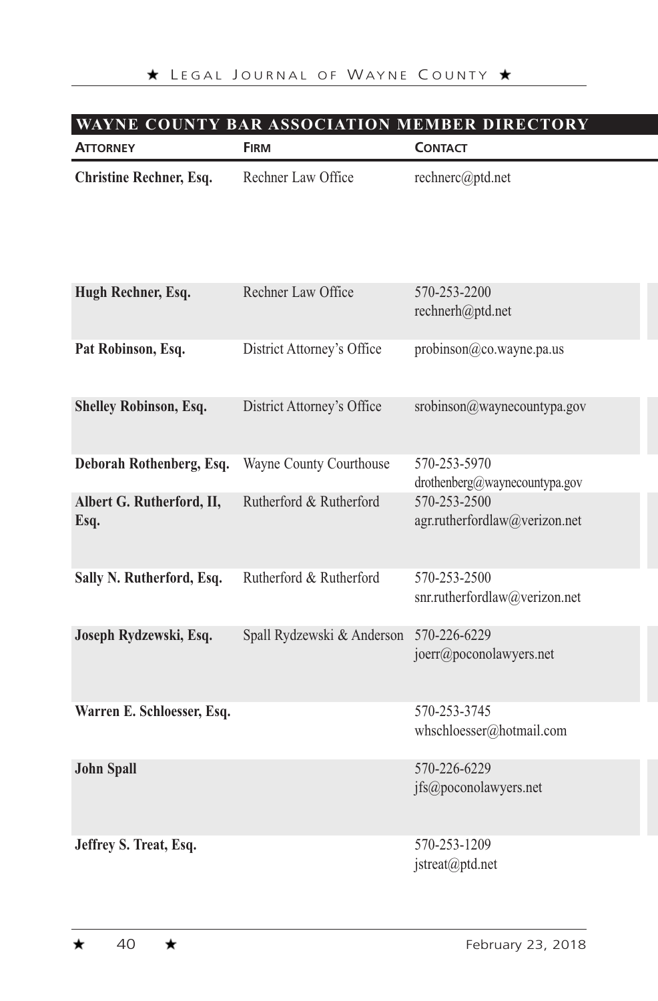# **WAYNE COUNTY BAR ASSOCIATION MEMBER DIRECTORY**

| <b>ATTORNEY</b>                   | <b>FIRM</b>                | <b>CONTACT</b>                                |
|-----------------------------------|----------------------------|-----------------------------------------------|
| Christine Rechner, Esq.           | Rechner Law Office         | rechnerc@ptd.net                              |
| Hugh Rechner, Esq.                | Rechner Law Office         | 570-253-2200<br>rechnerh@ptd.net              |
| Pat Robinson, Esq.                | District Attorney's Office | probinson@co.wayne.pa.us                      |
| Shelley Robinson, Esq.            | District Attorney's Office | srobinson@waynecountypa.gov                   |
| Deborah Rothenberg, Esq.          | Wayne County Courthouse    | 570-253-5970<br>drothenberg@waynecountypa.gov |
| Albert G. Rutherford, II,<br>Esq. | Rutherford & Rutherford    | 570-253-2500<br>agr.rutherfordlaw@verizon.net |
| Sally N. Rutherford, Esq.         | Rutherford & Rutherford    | 570-253-2500<br>snr.rutherfordlaw@verizon.net |
| Joseph Rydzewski, Esq.            | Spall Rydzewski & Anderson | 570-226-6229<br>joerr@poconolawyers.net       |
| Warren E. Schloesser, Esq.        |                            | 570-253-3745<br>whschloesser@hotmail.com      |
| <b>John Spall</b>                 |                            | 570-226-6229<br>jfs@poconolawyers.net         |
| Jeffrey S. Treat, Esq.            |                            | 570-253-1209<br>jstreat@ptd.net               |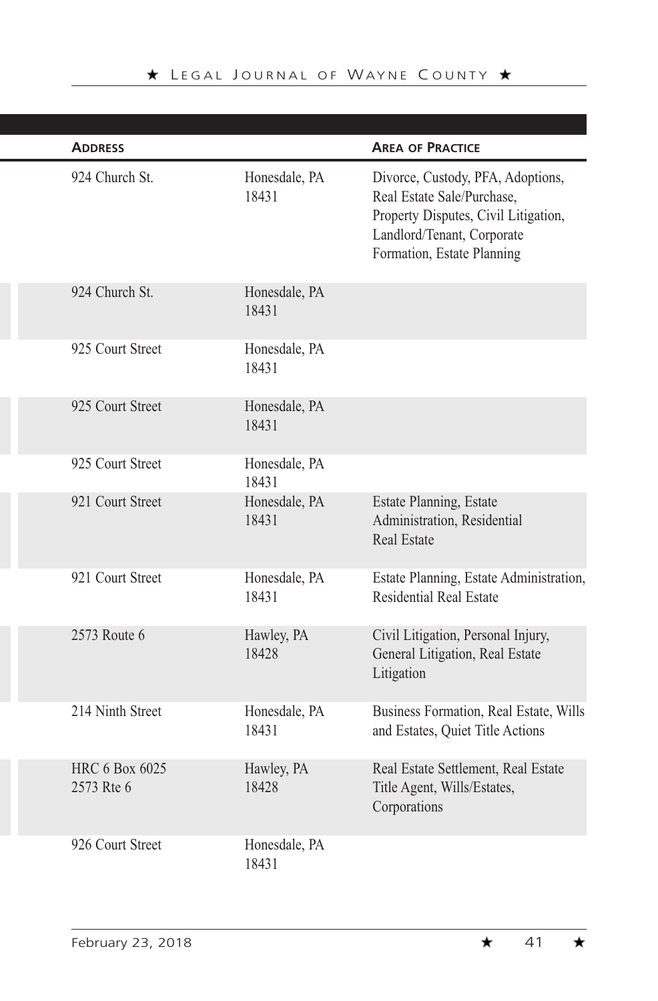| <b>ADDRESS</b>                      |                        | <b>AREA OF PRACTICE</b>                                                                                                                                             |
|-------------------------------------|------------------------|---------------------------------------------------------------------------------------------------------------------------------------------------------------------|
| 924 Church St.                      | Honesdale, PA<br>18431 | Divorce, Custody, PFA, Adoptions,<br>Real Estate Sale/Purchase,<br>Property Disputes, Civil Litigation,<br>Landlord/Tenant, Corporate<br>Formation, Estate Planning |
| 924 Church St.                      | Honesdale, PA<br>18431 |                                                                                                                                                                     |
| 925 Court Street                    | Honesdale, PA<br>18431 |                                                                                                                                                                     |
| 925 Court Street                    | Honesdale, PA<br>18431 |                                                                                                                                                                     |
| 925 Court Street                    | Honesdale, PA<br>18431 |                                                                                                                                                                     |
| 921 Court Street                    | Honesdale, PA<br>18431 | Estate Planning, Estate<br>Administration, Residential<br><b>Real Estate</b>                                                                                        |
| 921 Court Street                    | Honesdale, PA<br>18431 | Estate Planning, Estate Administration,<br><b>Residential Real Estate</b>                                                                                           |
| 2573 Route 6                        | Hawley, PA<br>18428    | Civil Litigation, Personal Injury,<br>General Litigation, Real Estate<br>Litigation                                                                                 |
| 214 Ninth Street                    | Honesdale, PA<br>18431 | Business Formation, Real Estate, Wills<br>and Estates, Quiet Title Actions                                                                                          |
| <b>HRC 6 Box 6025</b><br>2573 Rte 6 | Hawley, PA<br>18428    | Real Estate Settlement, Real Estate<br>Title Agent, Wills/Estates,<br>Corporations                                                                                  |
| 926 Court Street                    | Honesdale, PA<br>18431 |                                                                                                                                                                     |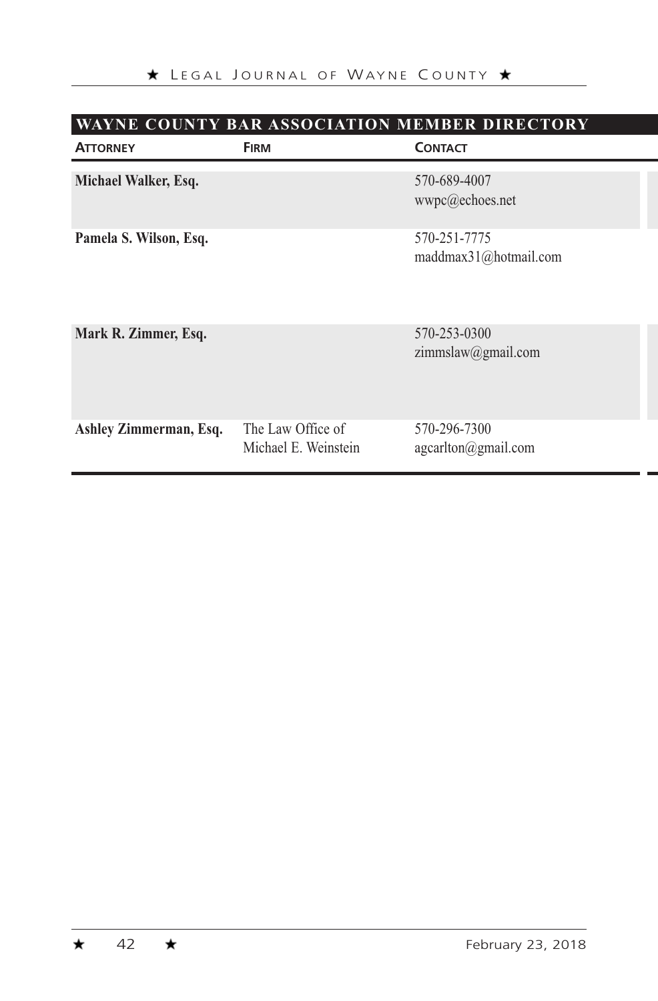| <b>WAYNE COUNTY BAR ASSOCIATION MEMBER DIRECTORY</b> |                                           |                                       |  |
|------------------------------------------------------|-------------------------------------------|---------------------------------------|--|
| <b>ATTORNEY</b>                                      | <b>FIRM</b>                               | <b>CONTACT</b>                        |  |
| Michael Walker, Esq.                                 |                                           | 570-689-4007<br>wwpc@echoes.net       |  |
| Pamela S. Wilson, Esq.                               |                                           | 570-251-7775<br>maddmax31@hotmail.com |  |
| Mark R. Zimmer, Esq.                                 |                                           | 570-253-0300<br>zimmslaw@gmail.com    |  |
| Ashley Zimmerman, Esq.                               | The Law Office of<br>Michael E. Weinstein | 570-296-7300<br>agcarlton@gmail.com   |  |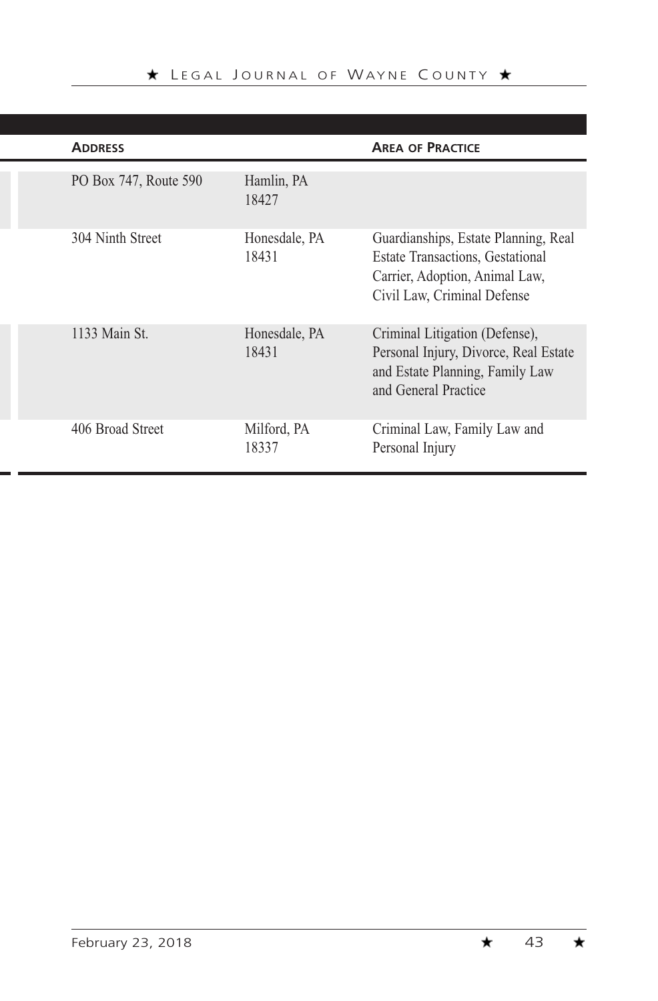| <b>ADDRESS</b>        |                        | <b>AREA OF PRACTICE</b>                                                                                                                          |
|-----------------------|------------------------|--------------------------------------------------------------------------------------------------------------------------------------------------|
| PO Box 747, Route 590 | Hamlin, PA<br>18427    |                                                                                                                                                  |
| 304 Ninth Street      | Honesdale, PA<br>18431 | Guardianships, Estate Planning, Real<br><b>Estate Transactions, Gestational</b><br>Carrier, Adoption, Animal Law,<br>Civil Law, Criminal Defense |
| 1133 Main St.         | Honesdale, PA<br>18431 | Criminal Litigation (Defense),<br>Personal Injury, Divorce, Real Estate<br>and Estate Planning, Family Law<br>and General Practice               |
| 406 Broad Street      | Milford, PA<br>18337   | Criminal Law, Family Law and<br>Personal Injury                                                                                                  |